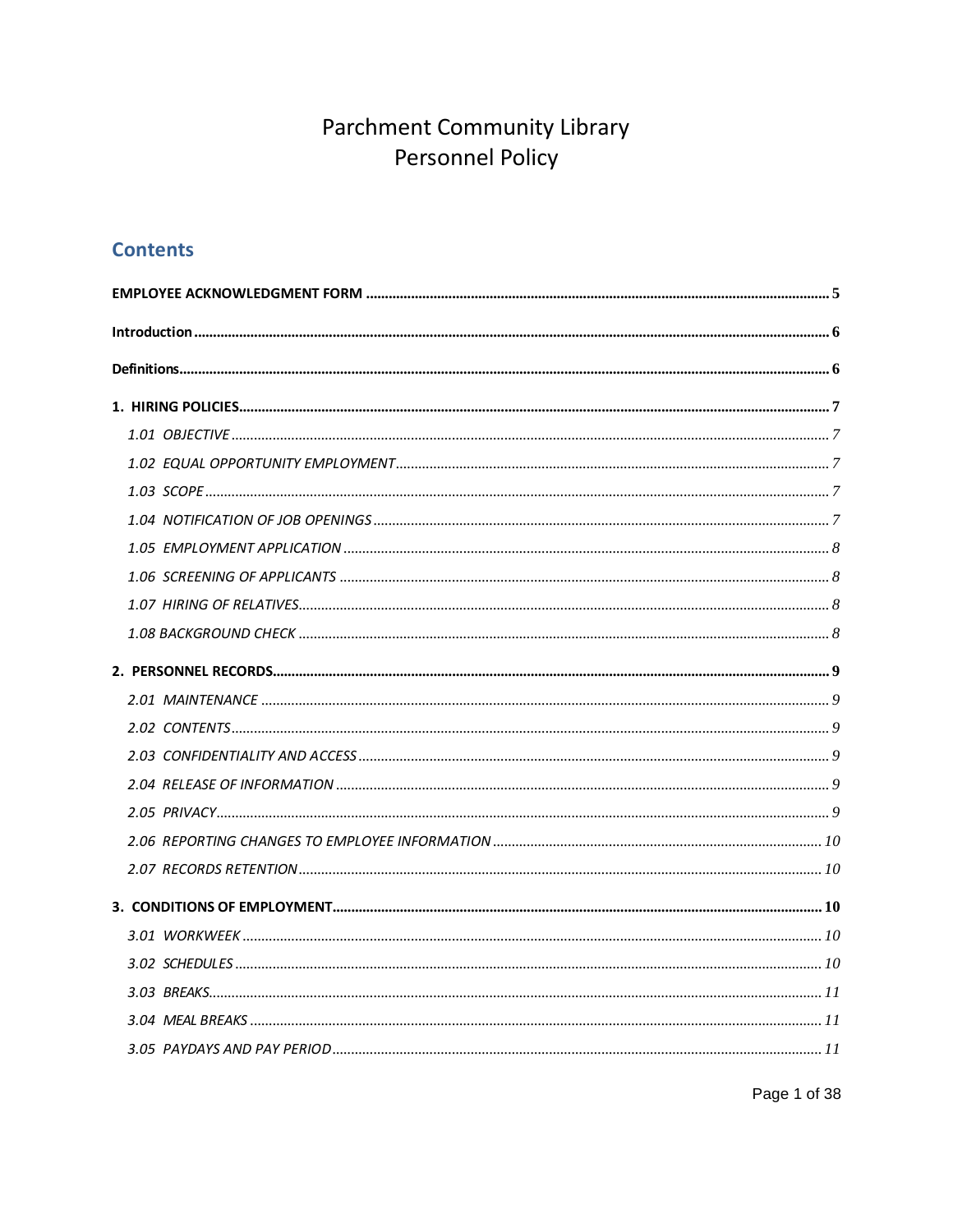## **Contents**

Page 1 of 38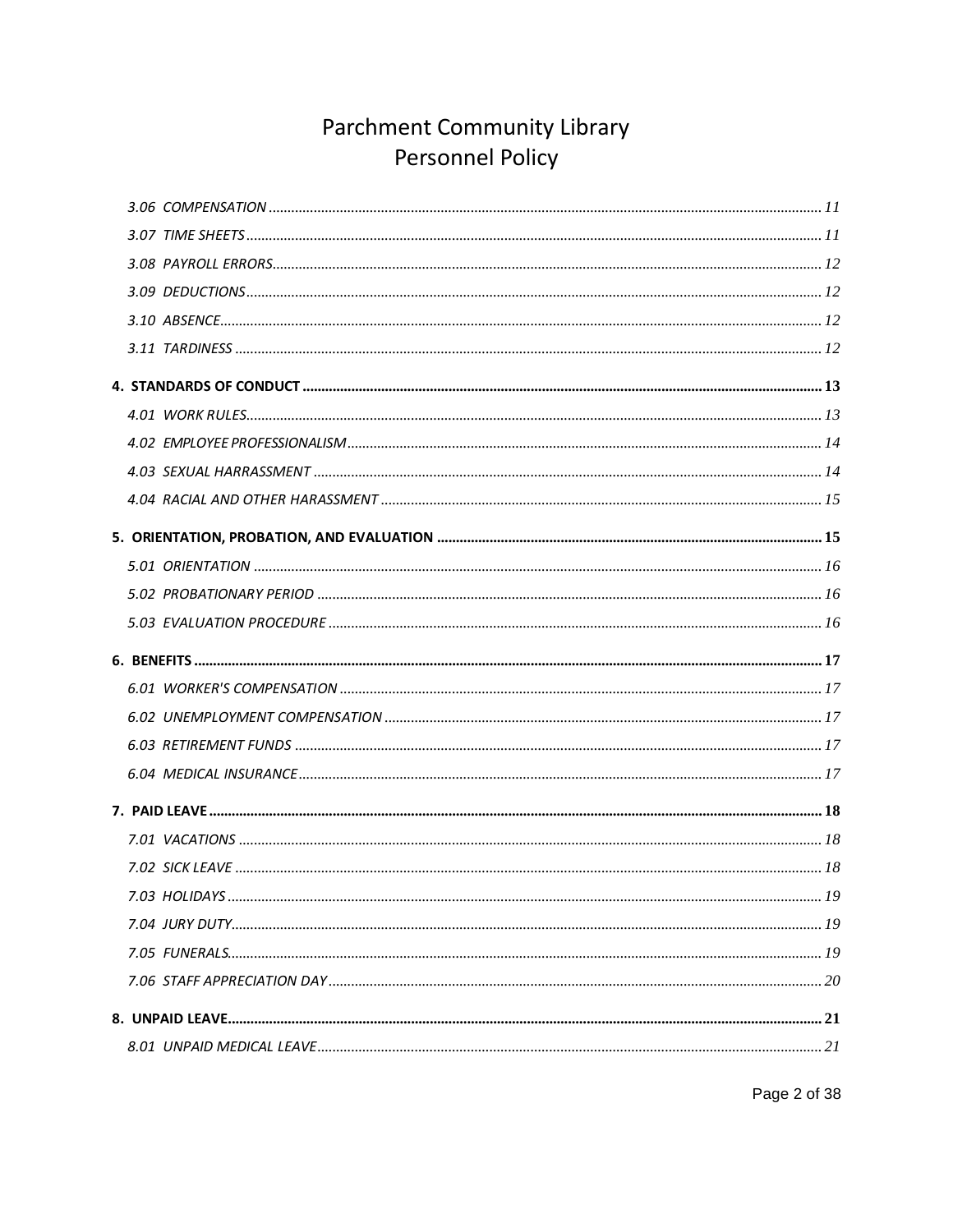Page 2 of 38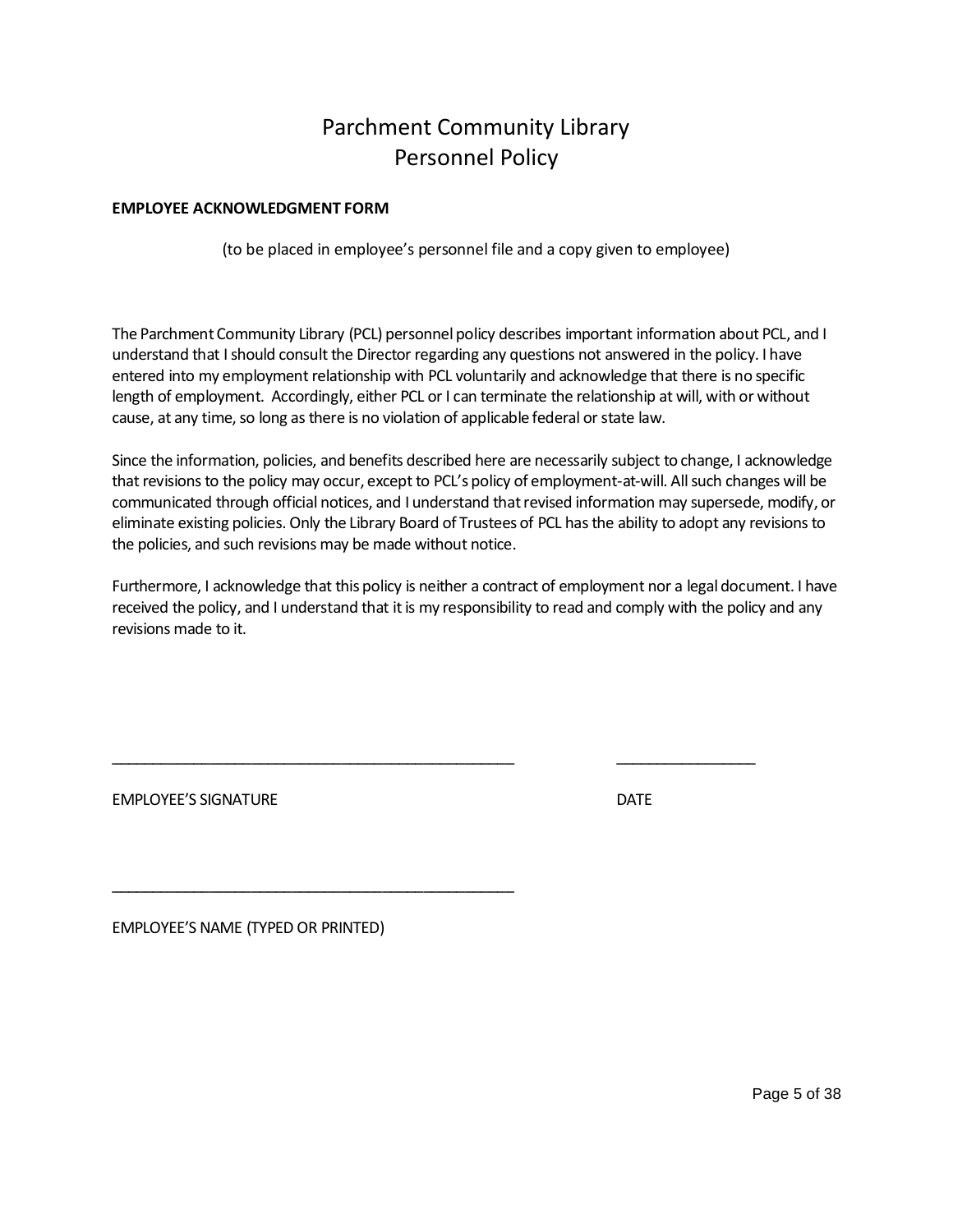### **EMPLOYEE ACKNOWLEDGMENT FORM**

<span id="page-4-0"></span>(to be placed in employee's personnel file and a copy given to employee)

The Parchment Community Library (PCL) personnel policy describes important information about PCL, and I understand that I should consult the Director regarding any questions not answered in the policy. I have entered into my employment relationship with PCL voluntarily and acknowledge that there is no specific length of employment. Accordingly, either PCL or I can terminate the relationship at will, with or without cause, at any time, so long as there is no violation of applicable federal or state law.

Since the information, policies, and benefits described here are necessarily subject to change, I acknowledge that revisions to the policy may occur, except to PCL's policy of employment-at-will. All such changes will be communicated through official notices, and I understand that revised information may supersede, modify, or eliminate existing policies. Only the Library Board of Trustees of PCL has the ability to adopt any revisions to the policies, and such revisions may be made without notice.

Furthermore, I acknowledge that this policy is neither a contract of employment nor a legal document. I have received the policy, and I understand that it is my responsibility to read and comply with the policy and any revisions made to it.

\_\_\_\_\_\_\_\_\_\_\_\_\_\_\_\_\_\_\_\_\_\_\_\_\_\_\_\_\_\_\_\_\_\_\_\_\_\_\_\_\_\_\_\_\_\_\_\_\_ \_\_\_\_\_\_\_\_\_\_\_\_\_\_\_\_\_

EMPLOYEE'S SIGNATURE **EXECUTE A SIGNATURE DATE** 

EMPLOYEE'S NAME (TYPED OR PRINTED)

\_\_\_\_\_\_\_\_\_\_\_\_\_\_\_\_\_\_\_\_\_\_\_\_\_\_\_\_\_\_\_\_\_\_\_\_\_\_\_\_\_\_\_\_\_\_\_\_\_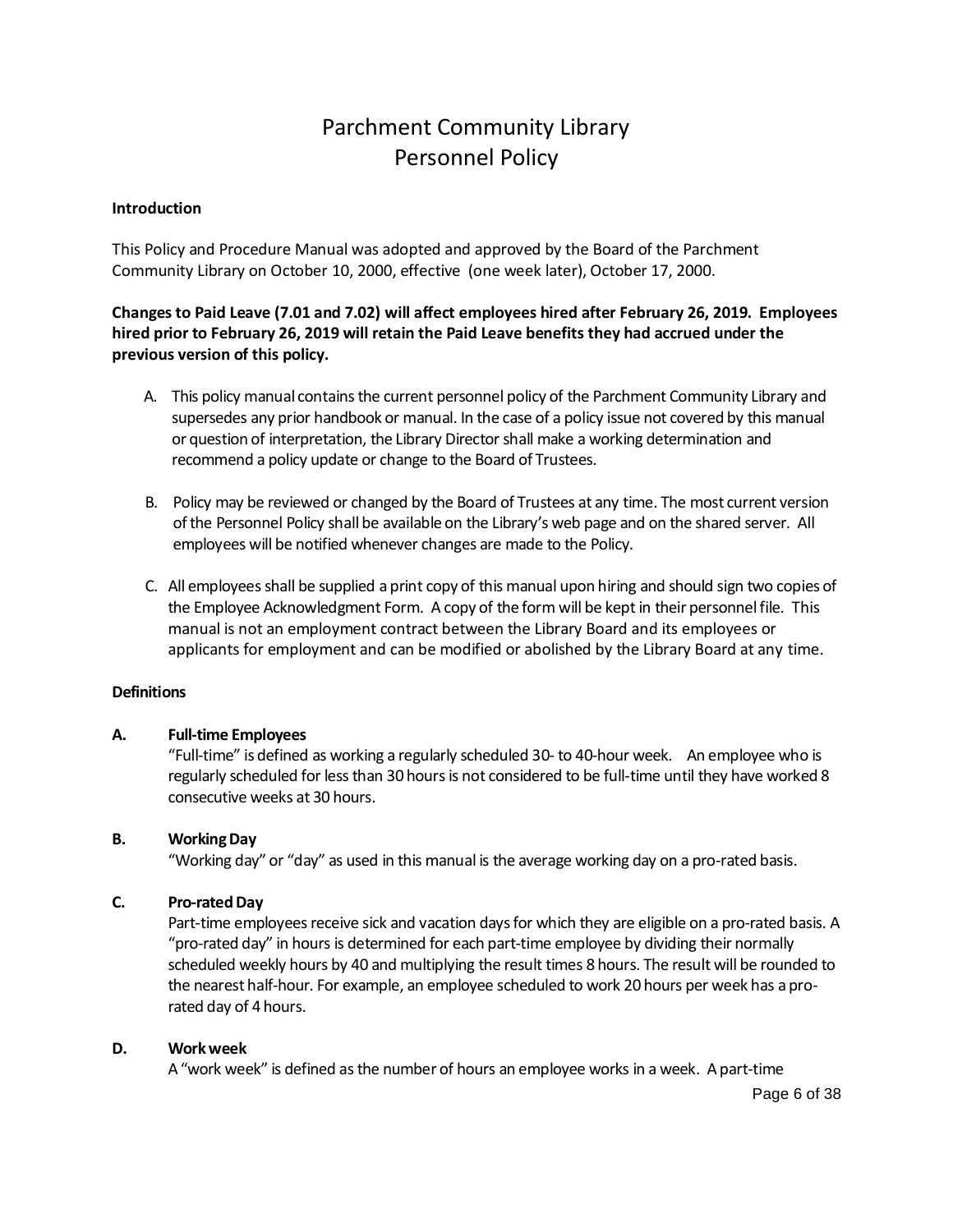### <span id="page-5-0"></span>**Introduction**

This Policy and Procedure Manual was adopted and approved by the Board of the Parchment Community Library on October 10, 2000, effective (one week later), October 17, 2000.

## **Changes to Paid Leave (7.01 and 7.02) will affect employees hired after February 26, 2019. Employees hired prior to February 26, 2019 will retain the Paid Leave benefits they had accrued under the previous version of this policy.**

- A. This policy manual contains the current personnel policy of the Parchment Community Library and supersedes any prior handbook or manual. In the case of a policy issue not covered by this manual or question of interpretation, the Library Director shall make a working determination and recommend a policy update or change to the Board of Trustees.
- B. Policy may be reviewed or changed by the Board of Trustees at any time. The most current version of the Personnel Policy shall be available on the Library's web page and on the shared server. All employees will be notified whenever changes are made to the Policy.
- C. All employees shall be supplied a print copy of this manual upon hiring and should sign two copies of the Employee Acknowledgment Form. A copy of the form will be kept in their personnel file. This manual is not an employment contract between the Library Board and its employees or applicants for employment and can be modified or abolished by the Library Board at any time.

## <span id="page-5-1"></span>**Definitions**

#### **A. Full-time Employees**

"Full-time" is defined as working a regularly scheduled 30- to 40-hour week. An employee who is regularly scheduled for less than 30 hours is not considered to be full-time until they have worked 8 consecutive weeks at 30 hours.

## **B. Working Day**

"Working day" or "day" as used in this manual is the average working day on a pro-rated basis.

### **C. Pro-rated Day**

Part-time employees receive sick and vacation days for which they are eligible on a pro-rated basis. A "pro-rated day" in hours is determined for each part-time employee by dividing their normally scheduled weekly hours by 40 and multiplying the result times 8 hours. The result will be rounded to the nearest half-hour. For example, an employee scheduled to work 20 hours per week has a prorated day of 4 hours.

#### **D. Work week**

A "work week" is defined as the number of hours an employee works in a week. A part-time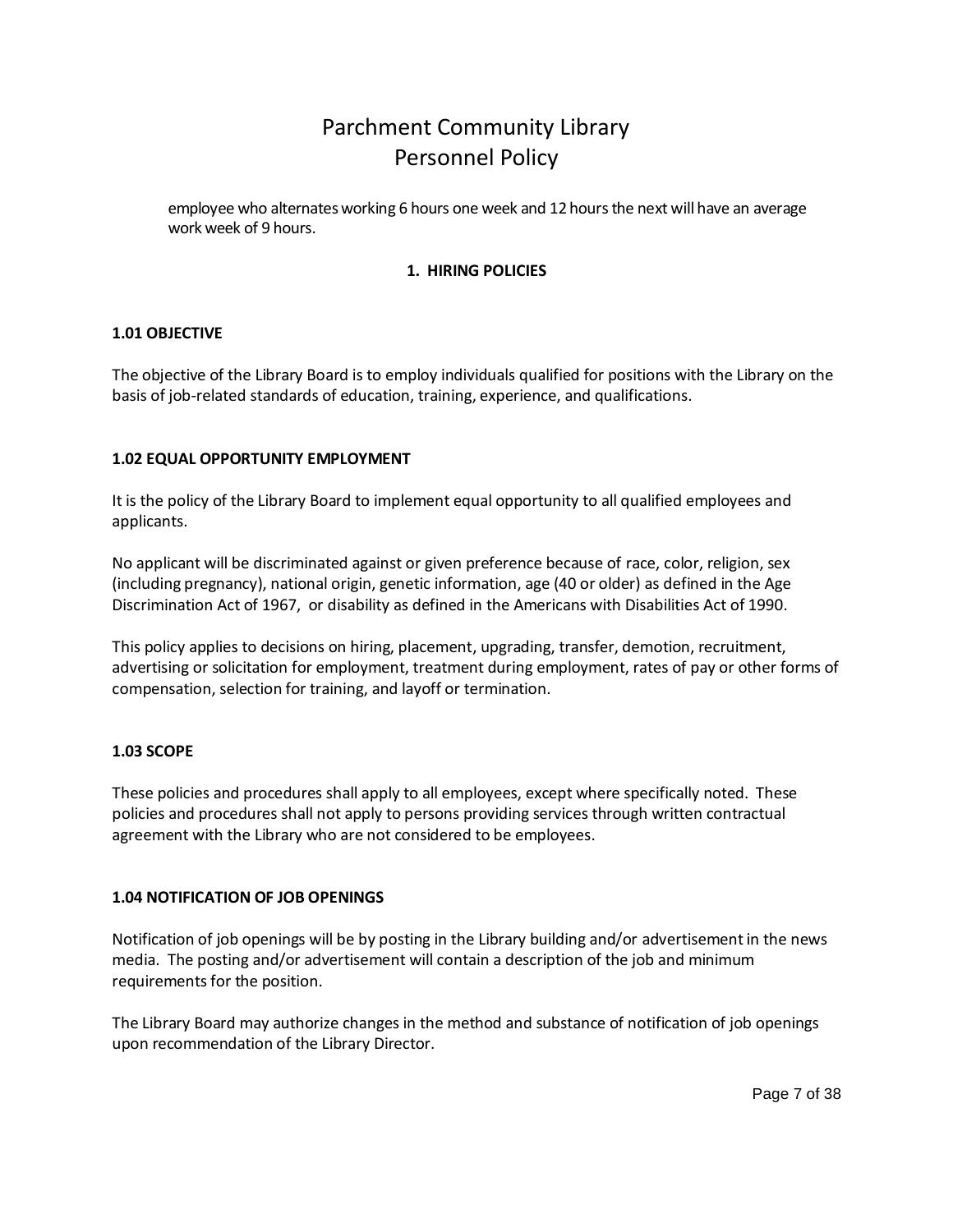employee who alternates working 6 hours one week and 12 hours the next will have an average work week of 9 hours.

## <span id="page-6-2"></span><span id="page-6-0"></span>**1. HIRING POLICIES**

### <span id="page-6-1"></span>**1.01 OBJECTIVE**

The objective of the Library Board is to employ individuals qualified for positions with the Library on the basis of job-related standards of education, training, experience, and qualifications.

### **1.02 EQUAL OPPORTUNITY EMPLOYMENT**

It is the policy of the Library Board to implement equal opportunity to all qualified employees and applicants.

No applicant will be discriminated against or given preference because of race, color, religion, sex (including pregnancy), national origin, genetic information, age (40 or older) as defined in the Age Discrimination Act of 1967, or disability as defined in the Americans with Disabilities Act of 1990.

This policy applies to decisions on hiring, placement, upgrading, transfer, demotion, recruitment, advertising or solicitation for employment, treatment during employment, rates of pay or other forms of compensation, selection for training, and layoff or termination.

#### <span id="page-6-3"></span>**1.03 SCOPE**

These policies and procedures shall apply to all employees, except where specifically noted. These policies and procedures shall not apply to persons providing services through written contractual agreement with the Library who are not considered to be employees.

## <span id="page-6-4"></span>**1.04 NOTIFICATION OF JOB OPENINGS**

Notification of job openings will be by posting in the Library building and/or advertisement in the news media. The posting and/or advertisement will contain a description of the job and minimum requirements for the position.

The Library Board may authorize changes in the method and substance of notification of job openings upon recommendation of the Library Director.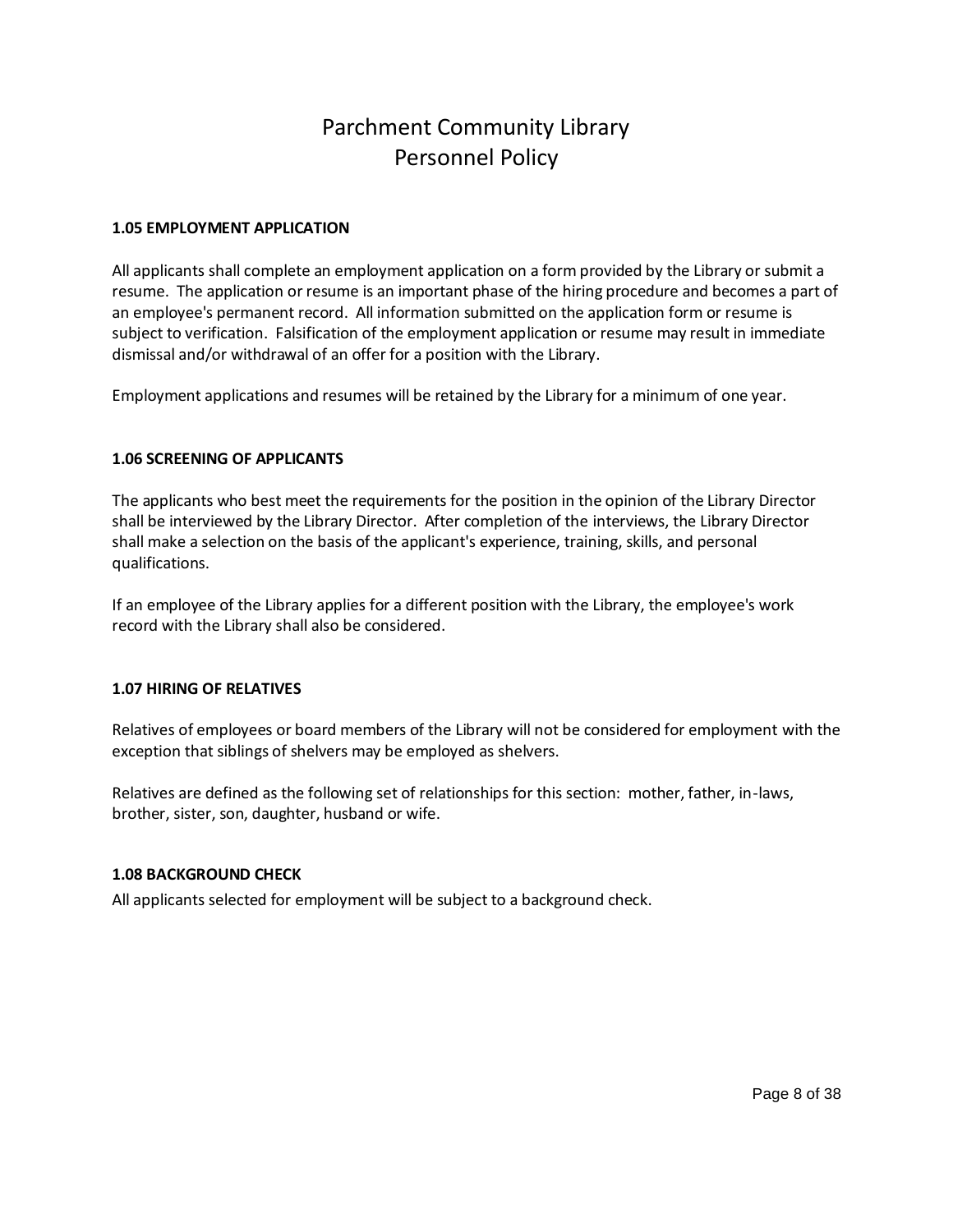### <span id="page-7-0"></span>**1.05 EMPLOYMENT APPLICATION**

All applicants shall complete an employment application on a form provided by the Library or submit a resume. The application or resume is an important phase of the hiring procedure and becomes a part of an employee's permanent record. All information submitted on the application form or resume is subject to verification. Falsification of the employment application or resume may result in immediate dismissal and/or withdrawal of an offer for a position with the Library.

Employment applications and resumes will be retained by the Library for a minimum of one year.

### <span id="page-7-1"></span>**1.06 SCREENING OF APPLICANTS**

The applicants who best meet the requirements for the position in the opinion of the Library Director shall be interviewed by the Library Director. After completion of the interviews, the Library Director shall make a selection on the basis of the applicant's experience, training, skills, and personal qualifications.

If an employee of the Library applies for a different position with the Library, the employee's work record with the Library shall also be considered.

## <span id="page-7-2"></span>**1.07 HIRING OF RELATIVES**

Relatives of employees or board members of the Library will not be considered for employment with the exception that siblings of shelvers may be employed as shelvers.

Relatives are defined as the following set of relationships for this section: mother, father, in-laws, brother, sister, son, daughter, husband or wife.

## <span id="page-7-3"></span>**1.08 BACKGROUND CHECK**

All applicants selected for employment will be subject to a background check.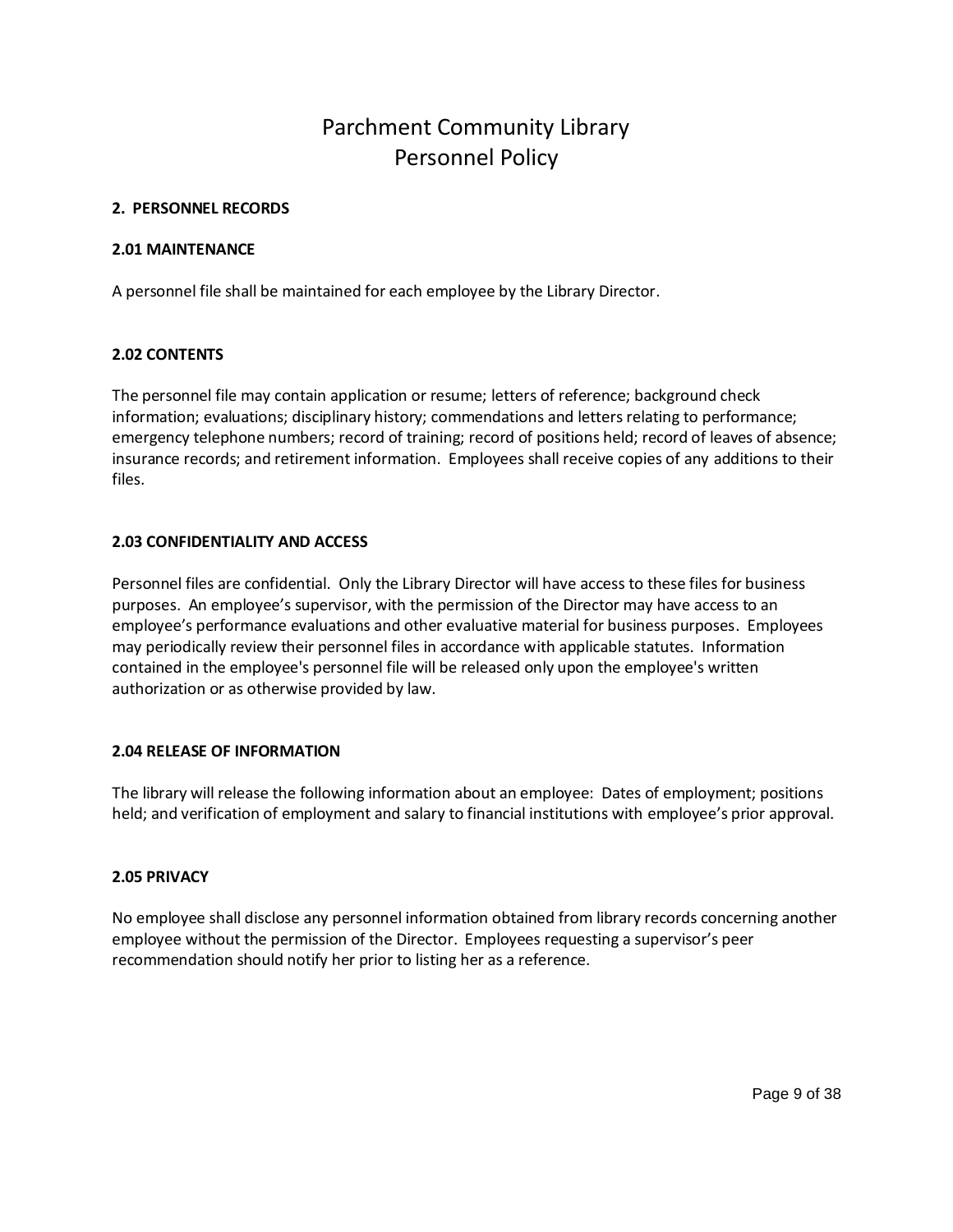#### <span id="page-8-0"></span>**2. PERSONNEL RECORDS**

#### <span id="page-8-1"></span>**2.01 MAINTENANCE**

A personnel file shall be maintained for each employee by the Library Director.

### <span id="page-8-2"></span>**2.02 CONTENTS**

The personnel file may contain application or resume; letters of reference; background check information; evaluations; disciplinary history; commendations and letters relating to performance; emergency telephone numbers; record of training; record of positions held; record of leaves of absence; insurance records; and retirement information. Employees shall receive copies of any additions to their files.

## <span id="page-8-3"></span>**2.03 CONFIDENTIALITY AND ACCESS**

Personnel files are confidential. Only the Library Director will have access to these files for business purposes. An employee's supervisor, with the permission of the Director may have access to an employee's performance evaluations and other evaluative material for business purposes. Employees may periodically review their personnel files in accordance with applicable statutes. Information contained in the employee's personnel file will be released only upon the employee's written authorization or as otherwise provided by law.

## <span id="page-8-4"></span>**2.04 RELEASE OF INFORMATION**

The library will release the following information about an employee: Dates of employment; positions held; and verification of employment and salary to financial institutions with employee's prior approval.

#### <span id="page-8-5"></span>**2.05 PRIVACY**

No employee shall disclose any personnel information obtained from library records concerning another employee without the permission of the Director. Employees requesting a supervisor's peer recommendation should notify her prior to listing her as a reference.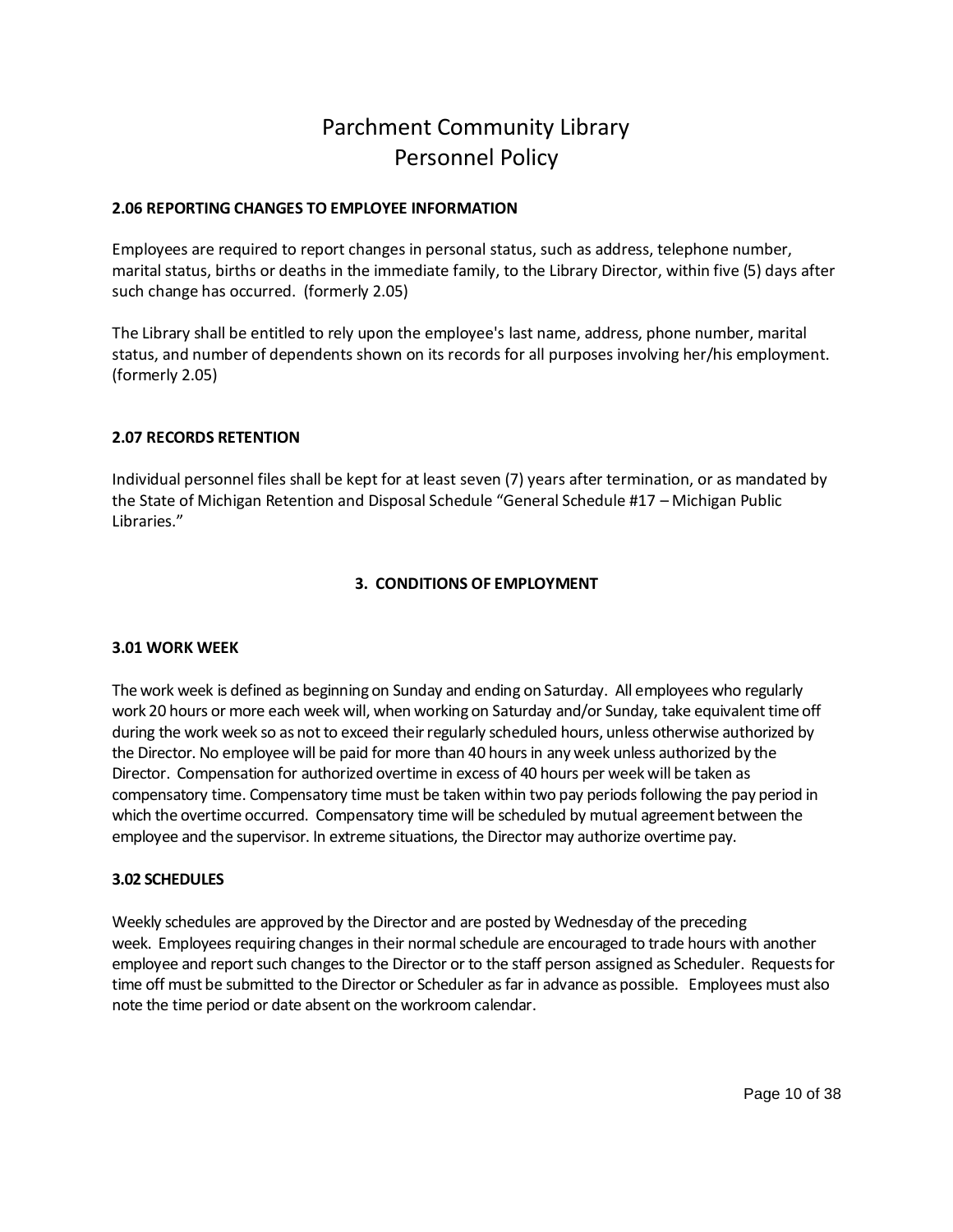### <span id="page-9-0"></span>**2.06 REPORTING CHANGES TO EMPLOYEE INFORMATION**

Employees are required to report changes in personal status, such as address, telephone number, marital status, births or deaths in the immediate family, to the Library Director, within five (5) days after such change has occurred. (formerly 2.05)

The Library shall be entitled to rely upon the employee's last name, address, phone number, marital status, and number of dependents shown on its records for all purposes involving her/his employment. (formerly 2.05)

## **2.07 RECORDS RETENTION**

Individual personnel files shall be kept for at least seven (7) years after termination, or as mandated by the State of Michigan Retention and Disposal Schedule "General Schedule #17 – Michigan Public Libraries."

## <span id="page-9-2"></span><span id="page-9-1"></span>**3. CONDITIONS OF EMPLOYMENT**

#### <span id="page-9-3"></span>**3.01 WORK WEEK**

The work week is defined as beginning on Sunday and ending on Saturday. All employees who regularly work 20 hours or more each week will, when working on Saturday and/or Sunday, take equivalent time off during the work week so as not to exceed their regularly scheduled hours, unless otherwise authorized by the Director. No employee will be paid for more than 40 hoursin any week unless authorized by the Director. Compensation for authorized overtime in excess of 40 hours per week will be taken as compensatory time. Compensatory time must be taken within two pay periods following the pay period in which the overtime occurred. Compensatory time will be scheduled by mutual agreement between the employee and the supervisor. In extreme situations, the Director may authorize overtime pay.

#### <span id="page-9-4"></span>**3.02 SCHEDULES**

Weekly schedules are approved by the Director and are posted by Wednesday of the preceding week. Employees requiring changes in their normal schedule are encouraged to trade hours with another employee and report such changes to the Director or to the staff person assigned as Scheduler. Requests for time off must be submitted to the Director or Scheduler as far in advance as possible. Employees must also note the time period or date absent on the workroom calendar.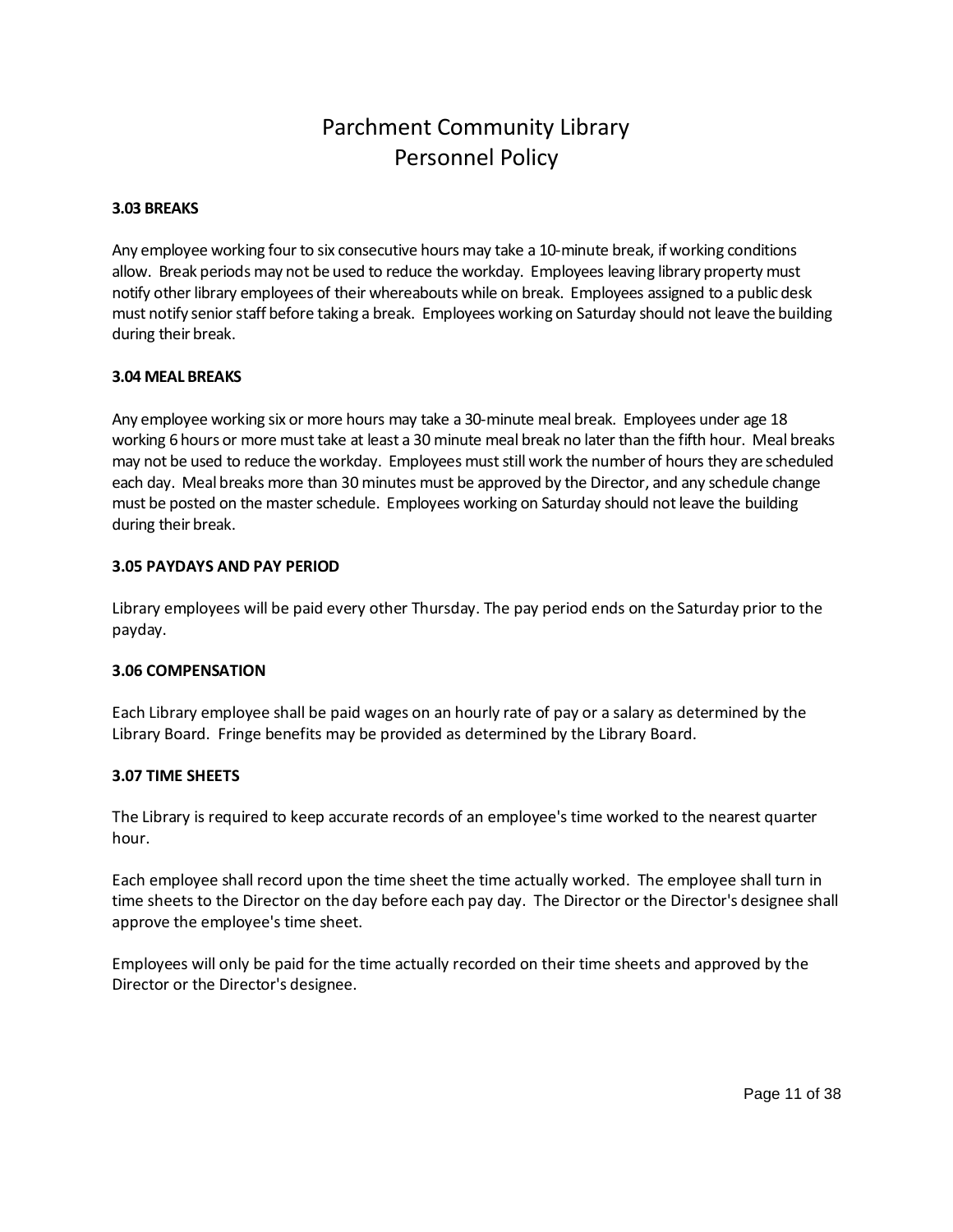### <span id="page-10-0"></span>**3.03 BREAKS**

Any employee working four to six consecutive hours may take a 10-minute break, if working conditions allow. Break periods may not be used to reduce the workday. Employees leaving library property must notify other library employees of their whereabouts while on break. Employees assigned to a public desk must notify senior staff before taking a break. Employees working on Saturday should not leave the building during their break.

### <span id="page-10-1"></span>**3.04 MEAL BREAKS**

Any employee working six or more hours may take a 30-minute meal break. Employees under age 18 working 6 hours or more must take at least a 30 minute meal break no later than the fifth hour. Meal breaks may not be used to reduce the workday. Employees must still work the number of hours they are scheduled each day. Meal breaks more than 30 minutes must be approved by the Director, and any schedule change must be posted on the master schedule. Employees working on Saturday should not leave the building during their break.

### <span id="page-10-2"></span>**3.05 PAYDAYS AND PAY PERIOD**

Library employees will be paid every other Thursday. The pay period ends on the Saturday prior to the payday.

#### <span id="page-10-3"></span>**3.06 COMPENSATION**

Each Library employee shall be paid wages on an hourly rate of pay or a salary as determined by the Library Board. Fringe benefits may be provided as determined by the Library Board.

#### <span id="page-10-4"></span>**3.07 TIME SHEETS**

The Library is required to keep accurate records of an employee's time worked to the nearest quarter hour.

Each employee shall record upon the time sheet the time actually worked. The employee shall turn in time sheets to the Director on the day before each pay day. The Director or the Director's designee shall approve the employee's time sheet.

Employees will only be paid for the time actually recorded on their time sheets and approved by the Director or the Director's designee.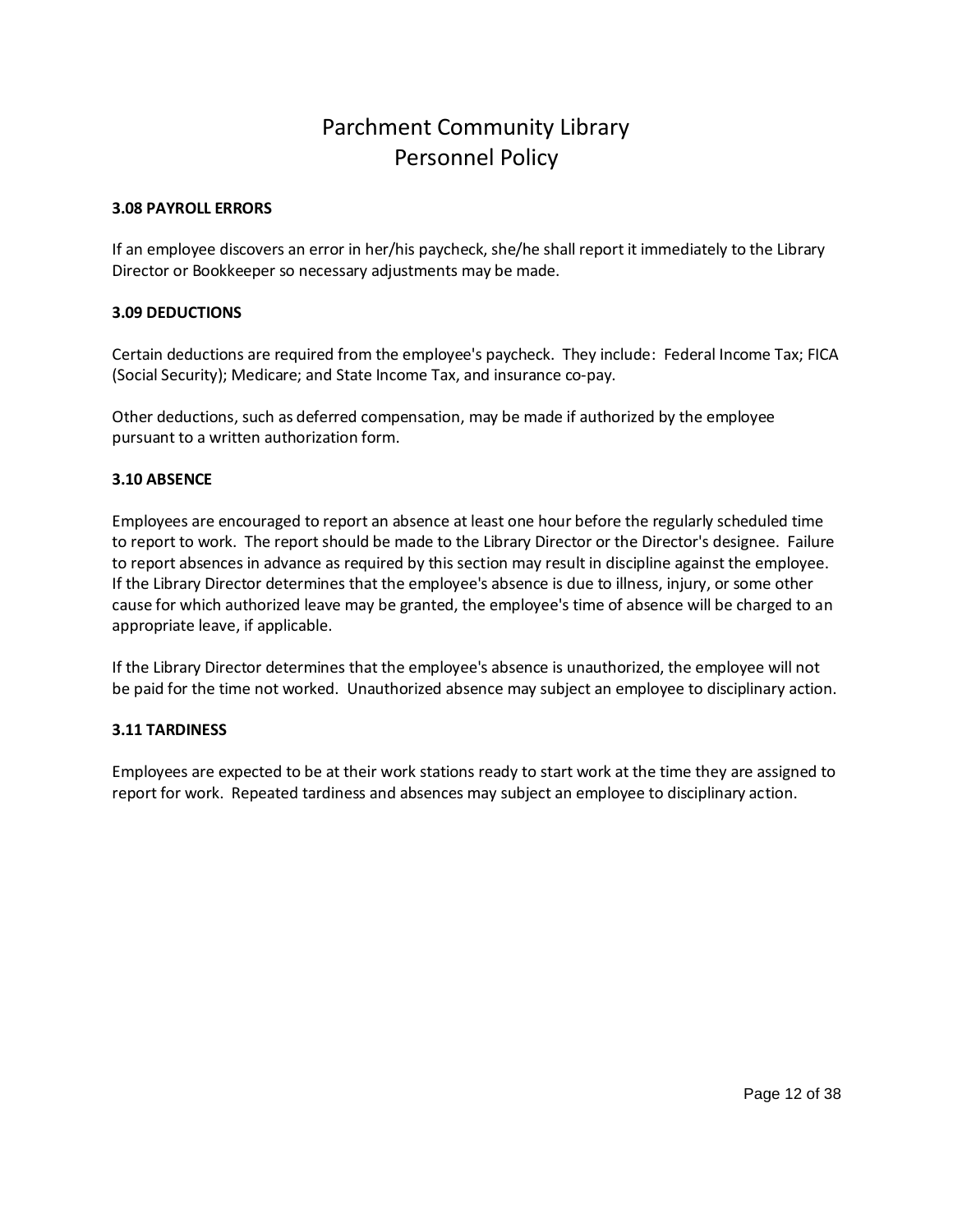### <span id="page-11-0"></span>**3.08 PAYROLL ERRORS**

If an employee discovers an error in her/his paycheck, she/he shall report it immediately to the Library Director or Bookkeeper so necessary adjustments may be made.

### <span id="page-11-1"></span>**3.09 DEDUCTIONS**

Certain deductions are required from the employee's paycheck. They include: Federal Income Tax; FICA (Social Security); Medicare; and State Income Tax, and insurance co-pay.

Other deductions, such as deferred compensation, may be made if authorized by the employee pursuant to a written authorization form.

### <span id="page-11-2"></span>**3.10 ABSENCE**

Employees are encouraged to report an absence at least one hour before the regularly scheduled time to report to work. The report should be made to the Library Director or the Director's designee. Failure to report absences in advance as required by this section may result in discipline against the employee. If the Library Director determines that the employee's absence is due to illness, injury, or some other cause for which authorized leave may be granted, the employee's time of absence will be charged to an appropriate leave, if applicable.

If the Library Director determines that the employee's absence is unauthorized, the employee will not be paid for the time not worked. Unauthorized absence may subject an employee to disciplinary action.

## <span id="page-11-3"></span>**3.11 TARDINESS**

Employees are expected to be at their work stations ready to start work at the time they are assigned to report for work. Repeated tardiness and absences may subject an employee to disciplinary action.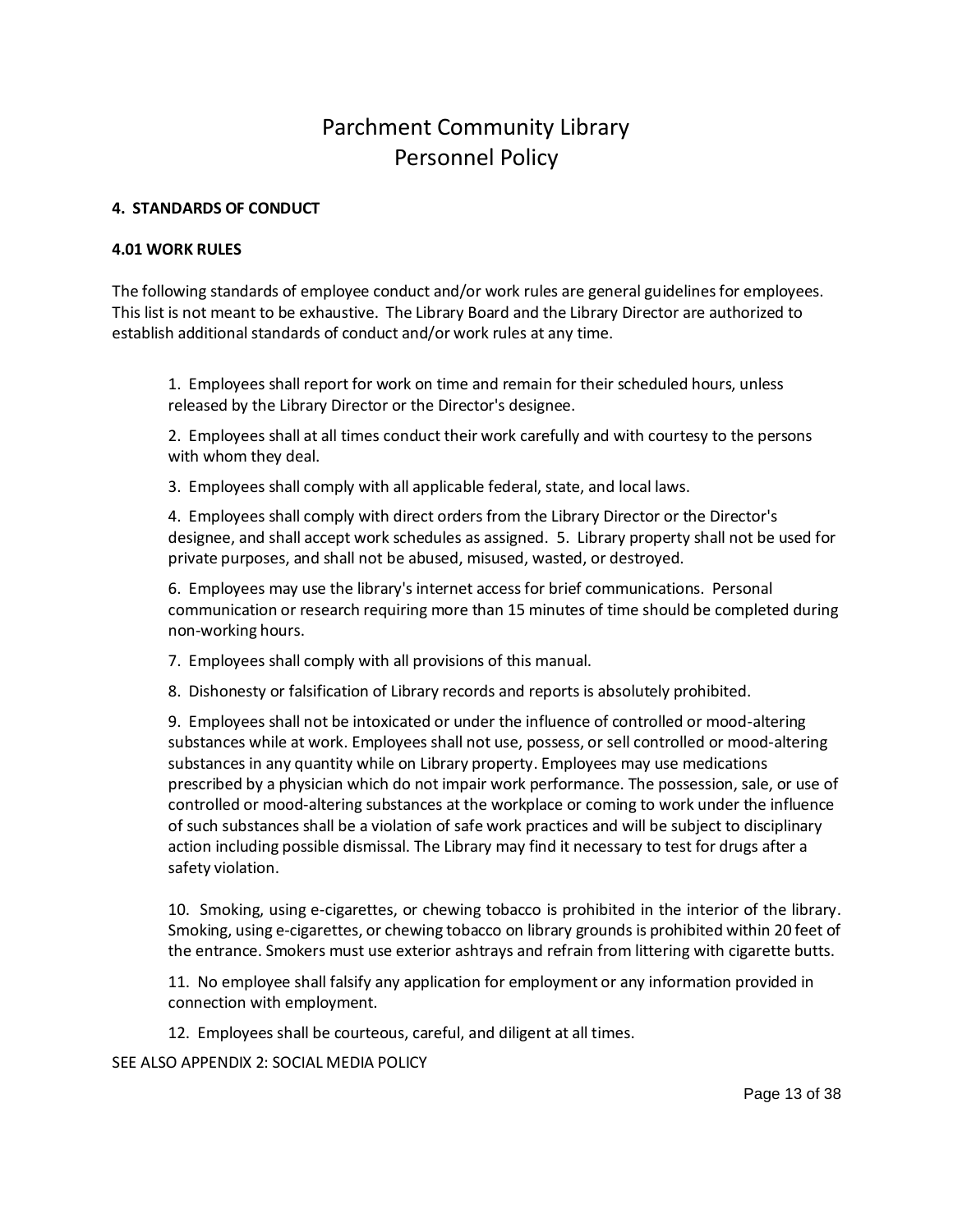### <span id="page-12-0"></span>**4. STANDARDS OF CONDUCT**

#### <span id="page-12-1"></span>**4.01 WORK RULES**

The following standards of employee conduct and/or work rules are general guidelines for employees. This list is not meant to be exhaustive. The Library Board and the Library Director are authorized to establish additional standards of conduct and/or work rules at any time.

1. Employees shall report for work on time and remain for their scheduled hours, unless released by the Library Director or the Director's designee.

2. Employees shall at all times conduct their work carefully and with courtesy to the persons with whom they deal.

3. Employees shall comply with all applicable federal, state, and local laws.

4. Employees shall comply with direct orders from the Library Director or the Director's designee, and shall accept work schedules as assigned. 5. Library property shall not be used for private purposes, and shall not be abused, misused, wasted, or destroyed.

6. Employees may use the library's internet access for brief communications. Personal communication or research requiring more than 15 minutes of time should be completed during non-working hours.

7. Employees shall comply with all provisions of this manual.

8. Dishonesty or falsification of Library records and reports is absolutely prohibited.

9. Employees shall not be intoxicated or under the influence of controlled or mood-altering substances while at work. Employees shall not use, possess, or sell controlled or mood-altering substances in any quantity while on Library property. Employees may use medications prescribed by a physician which do not impair work performance. The possession, sale, or use of controlled or mood-altering substances at the workplace or coming to work under the influence of such substances shall be a violation of safe work practices and will be subject to disciplinary action including possible dismissal. The Library may find it necessary to test for drugs after a safety violation.

10. Smoking, using e-cigarettes, or chewing tobacco is prohibited in the interior of the library. Smoking, using e-cigarettes, or chewing tobacco on library grounds is prohibited within 20 feet of the entrance. Smokers must use exterior ashtrays and refrain from littering with cigarette butts.

11. No employee shall falsify any application for employment or any information provided in connection with employment.

12. Employees shall be courteous, careful, and diligent at all times.

SEE ALSO APPENDIX 2: SOCIAL MEDIA POLICY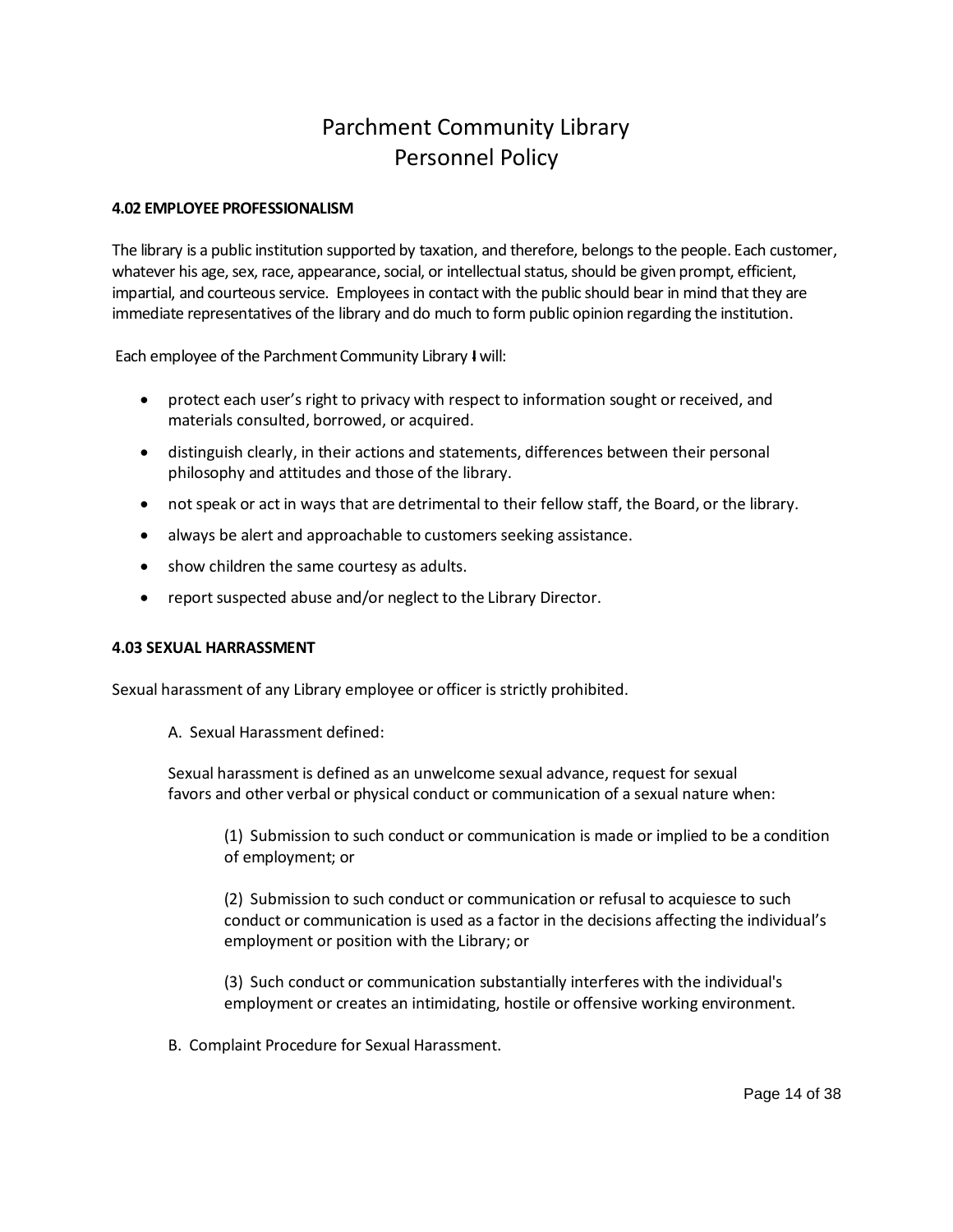### <span id="page-13-0"></span>**4.02 EMPLOYEE PROFESSIONALISM**

The library is a public institution supported by taxation, and therefore, belongs to the people. Each customer, whatever his age, sex, race, appearance, social, or intellectual status, should be given prompt, efficient, impartial, and courteous service. Employees in contact with the public should bear in mind that they are immediate representatives of the library and do much to form public opinion regarding the institution.

Each employee of the Parchment Community Library **I** will:

- protect each user's right to privacy with respect to information sought or received, and materials consulted, borrowed, or acquired.
- distinguish clearly, in their actions and statements, differences between their personal philosophy and attitudes and those of the library.
- not speak or act in ways that are detrimental to their fellow staff, the Board, or the library.
- always be alert and approachable to customers seeking assistance.
- show children the same courtesy as adults.
- report suspected abuse and/or neglect to the Library Director.

#### **4.03 SEXUAL HARRASSMENT**

Sexual harassment of any Library employee or officer is strictly prohibited.

<span id="page-13-1"></span>A. Sexual Harassment defined:

Sexual harassment is defined as an unwelcome sexual advance, request for sexual favors and other verbal or physical conduct or communication of a sexual nature when:

(1) Submission to such conduct or communication is made or implied to be a condition of employment; or

(2) Submission to such conduct or communication or refusal to acquiesce to such conduct or communication is used as a factor in the decisions affecting the individual's employment or position with the Library; or

(3) Such conduct or communication substantially interferes with the individual's employment or creates an intimidating, hostile or offensive working environment.

B. Complaint Procedure for Sexual Harassment.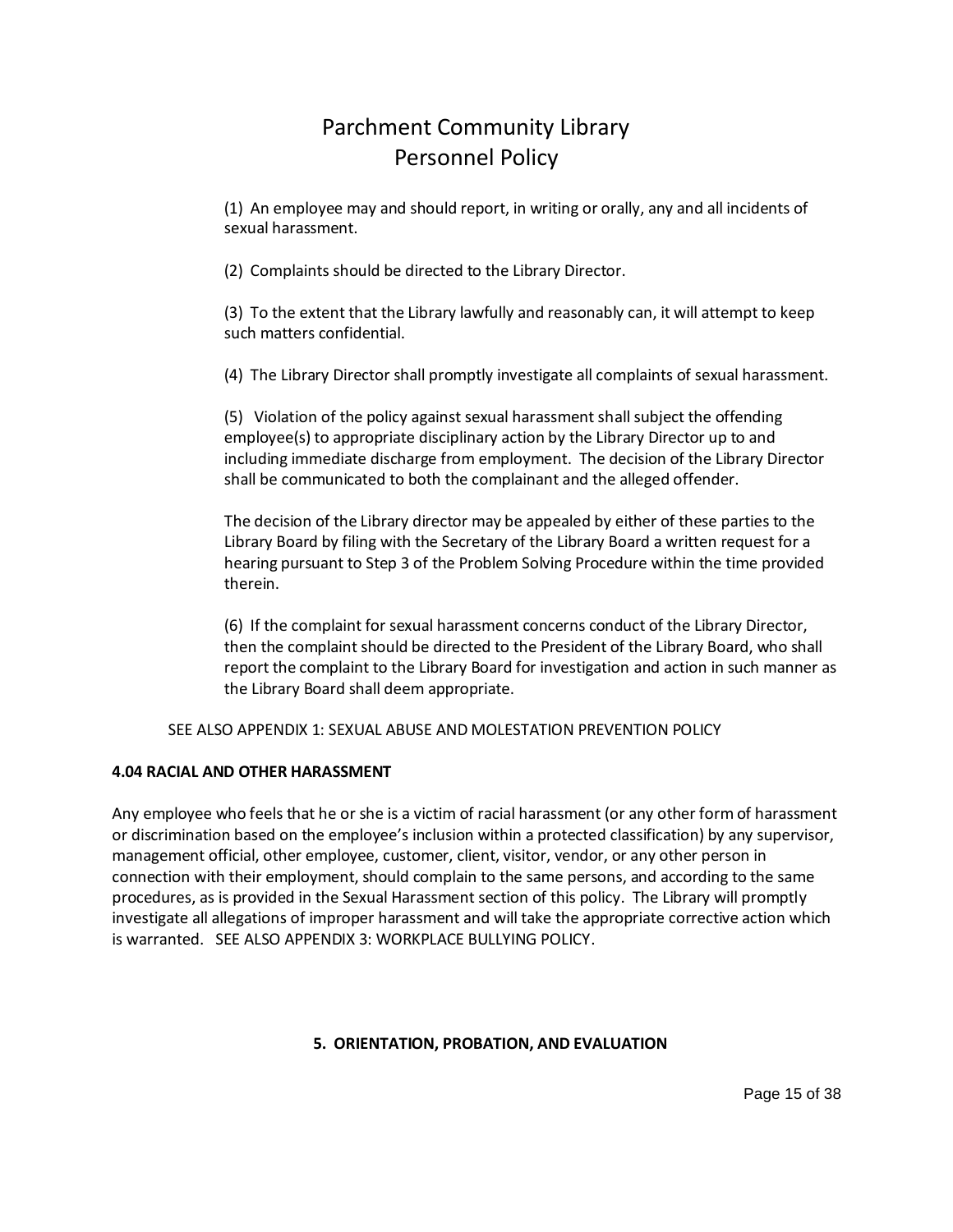(1) An employee may and should report, in writing or orally, any and all incidents of sexual harassment.

(2) Complaints should be directed to the Library Director.

(3) To the extent that the Library lawfully and reasonably can, it will attempt to keep such matters confidential.

(4) The Library Director shall promptly investigate all complaints of sexual harassment.

(5) Violation of the policy against sexual harassment shall subject the offending employee(s) to appropriate disciplinary action by the Library Director up to and including immediate discharge from employment. The decision of the Library Director shall be communicated to both the complainant and the alleged offender.

The decision of the Library director may be appealed by either of these parties to the Library Board by filing with the Secretary of the Library Board a written request for a hearing pursuant to Step 3 of the Problem Solving Procedure within the time provided therein.

<span id="page-14-0"></span>(6) If the complaint for sexual harassment concerns conduct of the Library Director, then the complaint should be directed to the President of the Library Board, who shall report the complaint to the Library Board for investigation and action in such manner as the Library Board shall deem appropriate.

## SEE ALSO APPENDIX 1: SEXUAL ABUSE AND MOLESTATION PREVENTION POLICY

## **4.04 RACIAL AND OTHER HARASSMENT**

Any employee who feels that he or she is a victim of racial harassment (or any other form of harassment or discrimination based on the employee's inclusion within a protected classification) by any supervisor, management official, other employee, customer, client, visitor, vendor, or any other person in connection with their employment, should complain to the same persons, and according to the same procedures, as is provided in the Sexual Harassment section of this policy. The Library will promptly investigate all allegations of improper harassment and will take the appropriate corrective action which is warranted. SEE ALSO APPENDIX 3: WORKPLACE BULLYING POLICY.

## <span id="page-14-1"></span>**5. ORIENTATION, PROBATION, AND EVALUATION**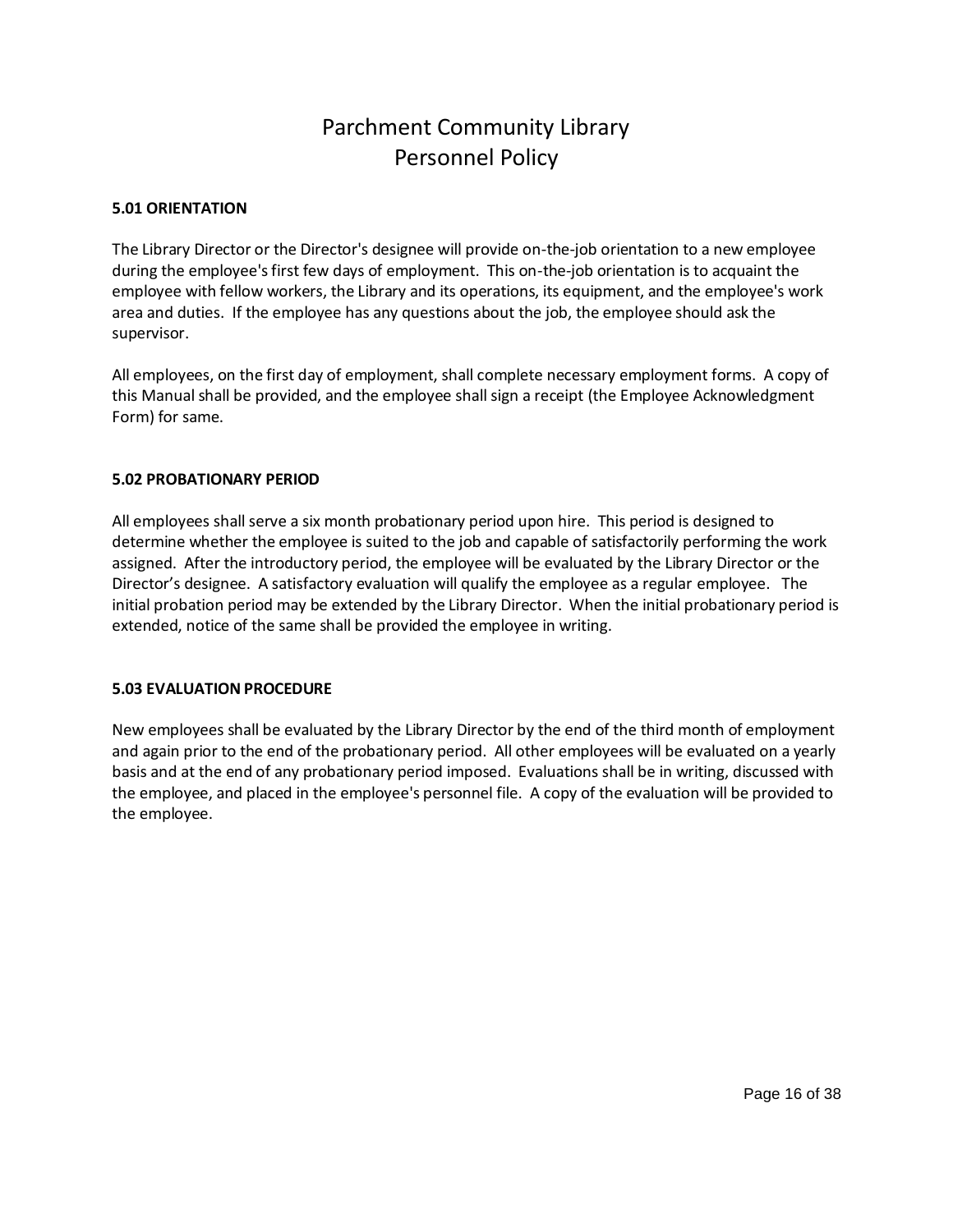## <span id="page-15-0"></span>**5.01 ORIENTATION**

The Library Director or the Director's designee will provide on-the-job orientation to a new employee during the employee's first few days of employment. This on-the-job orientation is to acquaint the employee with fellow workers, the Library and its operations, its equipment, and the employee's work area and duties. If the employee has any questions about the job, the employee should ask the supervisor.

All employees, on the first day of employment, shall complete necessary employment forms. A copy of this Manual shall be provided, and the employee shall sign a receipt (the Employee Acknowledgment Form) for same.

### <span id="page-15-1"></span>**5.02 PROBATIONARY PERIOD**

All employees shall serve a six month probationary period upon hire. This period is designed to determine whether the employee is suited to the job and capable of satisfactorily performing the work assigned. After the introductory period, the employee will be evaluated by the Library Director or the Director's designee. A satisfactory evaluation will qualify the employee as a regular employee. The initial probation period may be extended by the Library Director. When the initial probationary period is extended, notice of the same shall be provided the employee in writing.

## <span id="page-15-2"></span>**5.03 EVALUATION PROCEDURE**

New employees shall be evaluated by the Library Director by the end of the third month of employment and again prior to the end of the probationary period. All other employees will be evaluated on a yearly basis and at the end of any probationary period imposed. Evaluations shall be in writing, discussed with the employee, and placed in the employee's personnel file. A copy of the evaluation will be provided to the employee.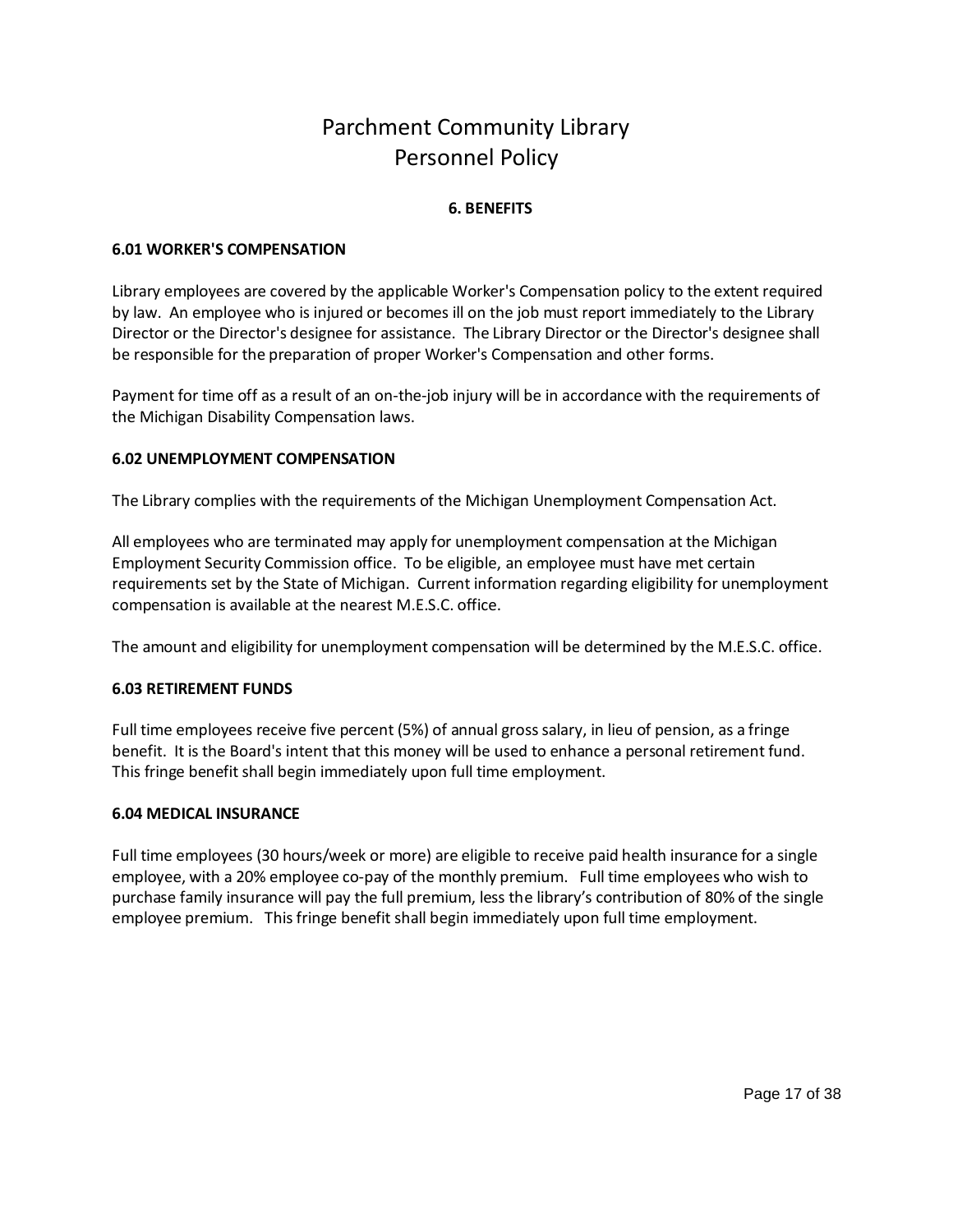## <span id="page-16-2"></span><span id="page-16-1"></span><span id="page-16-0"></span>**6. BENEFITS**

### **6.01 WORKER'S COMPENSATION**

Library employees are covered by the applicable Worker's Compensation policy to the extent required by law. An employee who is injured or becomes ill on the job must report immediately to the Library Director or the Director's designee for assistance. The Library Director or the Director's designee shall be responsible for the preparation of proper Worker's Compensation and other forms.

Payment for time off as a result of an on-the-job injury will be in accordance with the requirements of the Michigan Disability Compensation laws.

### **6.02 UNEMPLOYMENT COMPENSATION**

The Library complies with the requirements of the Michigan Unemployment Compensation Act.

All employees who are terminated may apply for unemployment compensation at the Michigan Employment Security Commission office. To be eligible, an employee must have met certain requirements set by the State of Michigan. Current information regarding eligibility for unemployment compensation is available at the nearest M.E.S.C. office.

The amount and eligibility for unemployment compensation will be determined by the M.E.S.C. office.

## <span id="page-16-3"></span>**6.03 RETIREMENT FUNDS**

Full time employees receive five percent (5%) of annual gross salary, in lieu of pension, as a fringe benefit. It is the Board's intent that this money will be used to enhance a personal retirement fund. This fringe benefit shall begin immediately upon full time employment.

#### <span id="page-16-4"></span>**6.04 MEDICAL INSURANCE**

Full time employees (30 hours/week or more) are eligible to receive paid health insurance for a single employee, with a 20% employee co-pay of the monthly premium. Full time employees who wish to purchase family insurance will pay the full premium, less the library's contribution of 80% of the single employee premium. This fringe benefit shall begin immediately upon full time employment.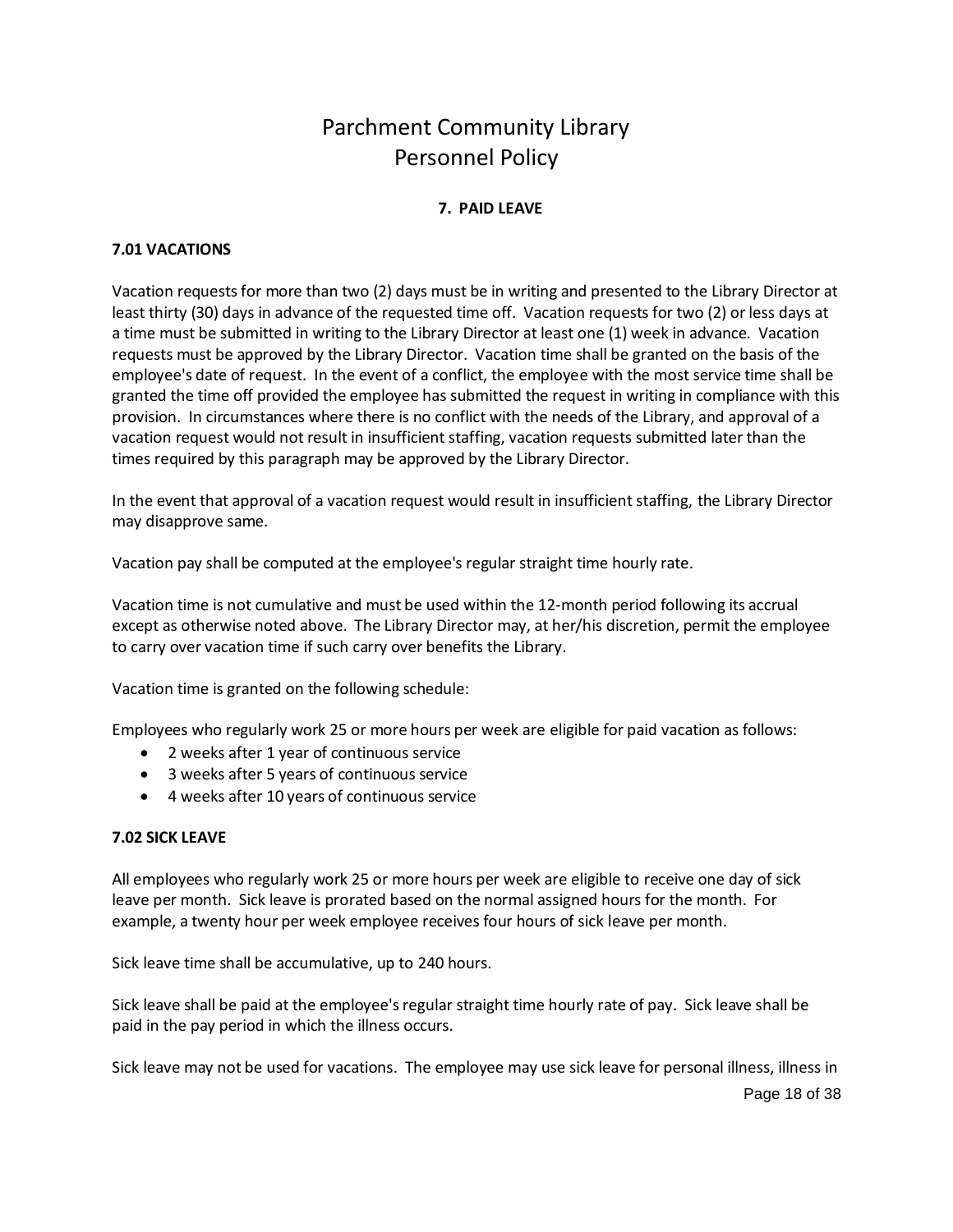## <span id="page-17-0"></span>**7. PAID LEAVE**

## <span id="page-17-1"></span>**7.01 VACATIONS**

Vacation requests for more than two (2) days must be in writing and presented to the Library Director at least thirty (30) days in advance of the requested time off. Vacation requests for two (2) or less days at a time must be submitted in writing to the Library Director at least one (1) week in advance. Vacation requests must be approved by the Library Director. Vacation time shall be granted on the basis of the employee's date of request. In the event of a conflict, the employee with the most service time shall be granted the time off provided the employee has submitted the request in writing in compliance with this provision. In circumstances where there is no conflict with the needs of the Library, and approval of a vacation request would not result in insufficient staffing, vacation requests submitted later than the times required by this paragraph may be approved by the Library Director.

In the event that approval of a vacation request would result in insufficient staffing, the Library Director may disapprove same.

Vacation pay shall be computed at the employee's regular straight time hourly rate.

Vacation time is not cumulative and must be used within the 12-month period following its accrual except as otherwise noted above. The Library Director may, at her/his discretion, permit the employee to carry over vacation time if such carry over benefits the Library.

Vacation time is granted on the following schedule:

Employees who regularly work 25 or more hours per week are eligible for paid vacation as follows:

- 2 weeks after 1 year of continuous service
- 3 weeks after 5 years of continuous service
- <span id="page-17-2"></span>4 weeks after 10 years of continuous service

### **7.02 SICK LEAVE**

All employees who regularly work 25 or more hours per week are eligible to receive one day of sick leave per month. Sick leave is prorated based on the normal assigned hours for the month. For example, a twenty hour per week employee receives four hours of sick leave per month.

Sick leave time shall be accumulative, up to 240 hours.

Sick leave shall be paid at the employee's regular straight time hourly rate of pay. Sick leave shall be paid in the pay period in which the illness occurs.

Sick leave may not be used for vacations. The employee may use sick leave for personal illness, illness in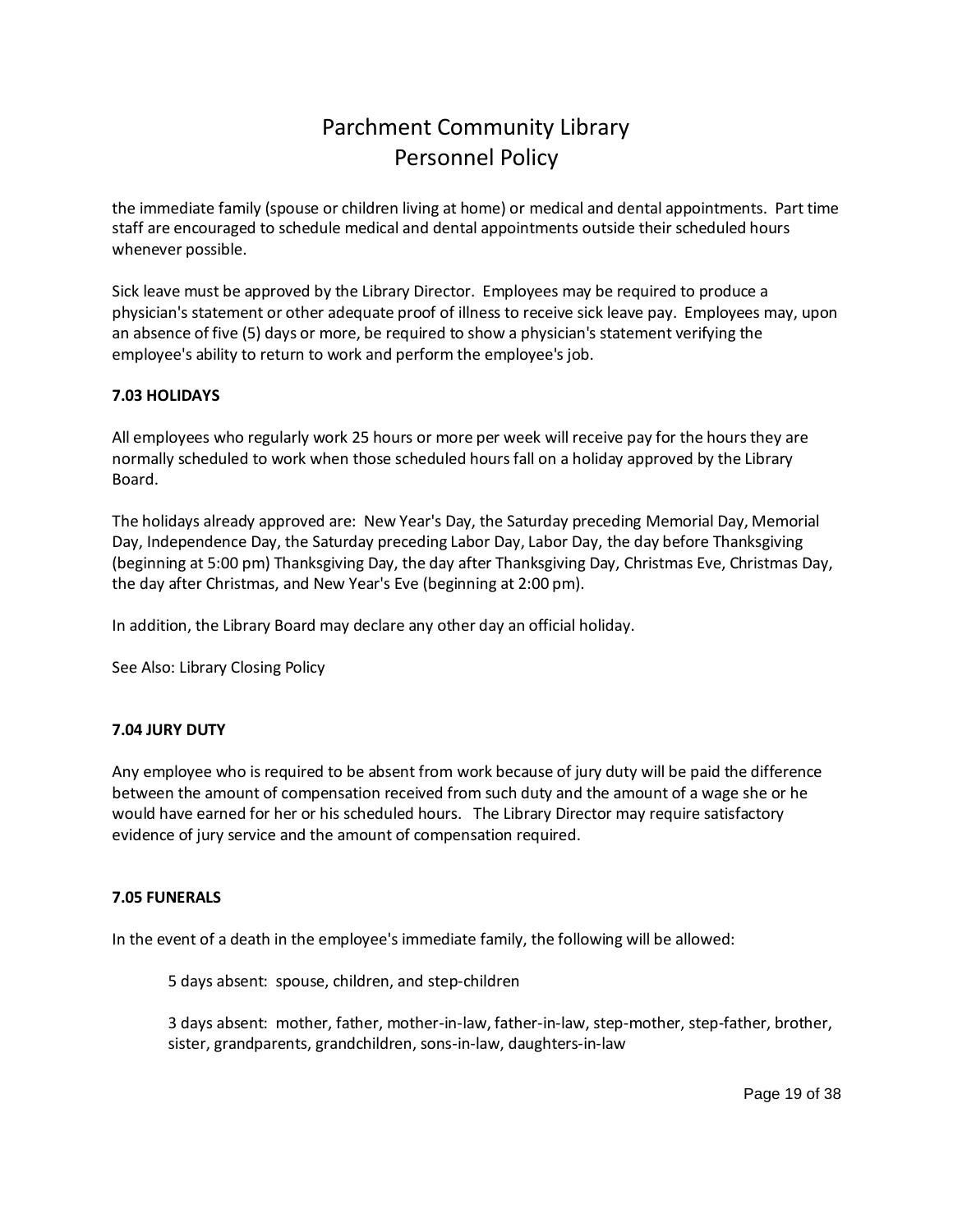the immediate family (spouse or children living at home) or medical and dental appointments. Part time staff are encouraged to schedule medical and dental appointments outside their scheduled hours whenever possible.

Sick leave must be approved by the Library Director. Employees may be required to produce a physician's statement or other adequate proof of illness to receive sick leave pay. Employees may, upon an absence of five (5) days or more, be required to show a physician's statement verifying the employee's ability to return to work and perform the employee's job.

## <span id="page-18-0"></span>**7.03 HOLIDAYS**

All employees who regularly work 25 hours or more per week will receive pay for the hours they are normally scheduled to work when those scheduled hours fall on a holiday approved by the Library Board.

The holidays already approved are: New Year's Day, the Saturday preceding Memorial Day, Memorial Day, Independence Day, the Saturday preceding Labor Day, Labor Day, the day before Thanksgiving (beginning at 5:00 pm) Thanksgiving Day, the day after Thanksgiving Day, Christmas Eve, Christmas Day, the day after Christmas, and New Year's Eve (beginning at 2:00 pm).

In addition, the Library Board may declare any other day an official holiday.

See Also: Library Closing Policy

## <span id="page-18-1"></span>**7.04 JURY DUTY**

Any employee who is required to be absent from work because of jury duty will be paid the difference between the amount of compensation received from such duty and the amount of a wage she or he would have earned for her or his scheduled hours. The Library Director may require satisfactory evidence of jury service and the amount of compensation required.

### **7.05 FUNERALS**

In the event of a death in the employee's immediate family, the following will be allowed:

<span id="page-18-2"></span>5 days absent: spouse, children, and step-children

3 days absent: mother, father, mother-in-law, father-in-law, step-mother, step-father, brother, sister, grandparents, grandchildren, sons-in-law, daughters-in-law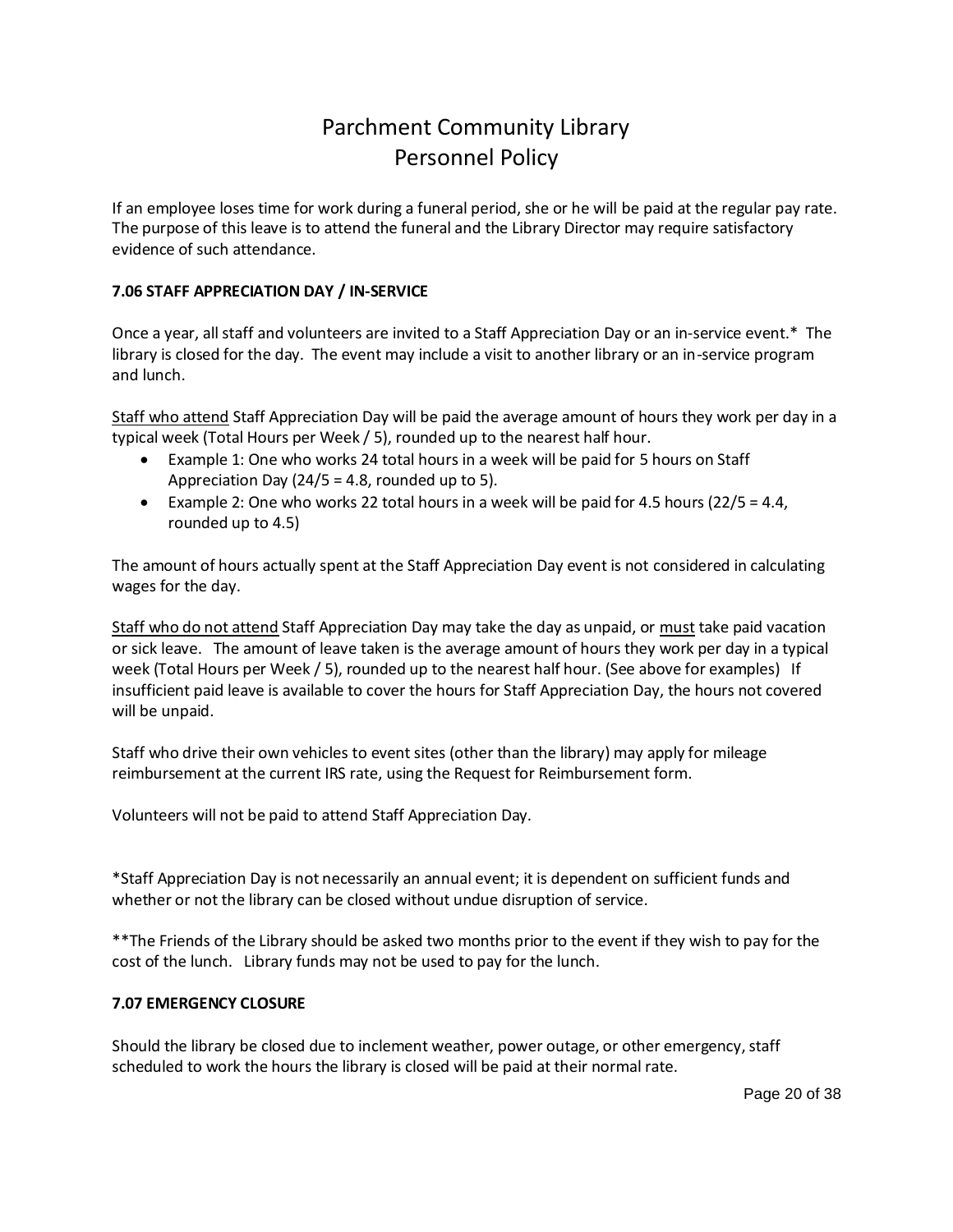If an employee loses time for work during a funeral period, she or he will be paid at the regular pay rate. The purpose of this leave is to attend the funeral and the Library Director may require satisfactory evidence of such attendance.

## <span id="page-19-0"></span>**7.06 STAFF APPRECIATION DAY / IN-SERVICE**

Once a year, all staff and volunteers are invited to a Staff Appreciation Day or an in-service event.\* The library is closed for the day. The event may include a visit to another library or an in-service program and lunch.

Staff who attend Staff Appreciation Day will be paid the average amount of hours they work per day in a typical week (Total Hours per Week / 5), rounded up to the nearest half hour.

- Example 1: One who works 24 total hours in a week will be paid for 5 hours on Staff Appreciation Day  $(24/5 = 4.8,$  rounded up to 5).
- Example 2: One who works 22 total hours in a week will be paid for 4.5 hours ( $22/5 = 4.4$ , rounded up to 4.5)

The amount of hours actually spent at the Staff Appreciation Day event is not considered in calculating wages for the day.

Staff who do not attend Staff Appreciation Day may take the day as unpaid, or must take paid vacation or sick leave. The amount of leave taken is the average amount of hours they work per day in a typical week (Total Hours per Week / 5), rounded up to the nearest half hour. (See above for examples) If insufficient paid leave is available to cover the hours for Staff Appreciation Day, the hours not covered will be unpaid.

Staff who drive their own vehicles to event sites (other than the library) may apply for mileage reimbursement at the current IRS rate, using the Request for Reimbursement form.

Volunteers will not be paid to attend Staff Appreciation Day.

\*Staff Appreciation Day is not necessarily an annual event; it is dependent on sufficient funds and whether or not the library can be closed without undue disruption of service.

\*\*The Friends of the Library should be asked two months prior to the event if they wish to pay for the cost of the lunch. Library funds may not be used to pay for the lunch.

## **7.07 EMERGENCY CLOSURE**

Should the library be closed due to inclement weather, power outage, or other emergency, staff scheduled to work the hours the library is closed will be paid at their normal rate.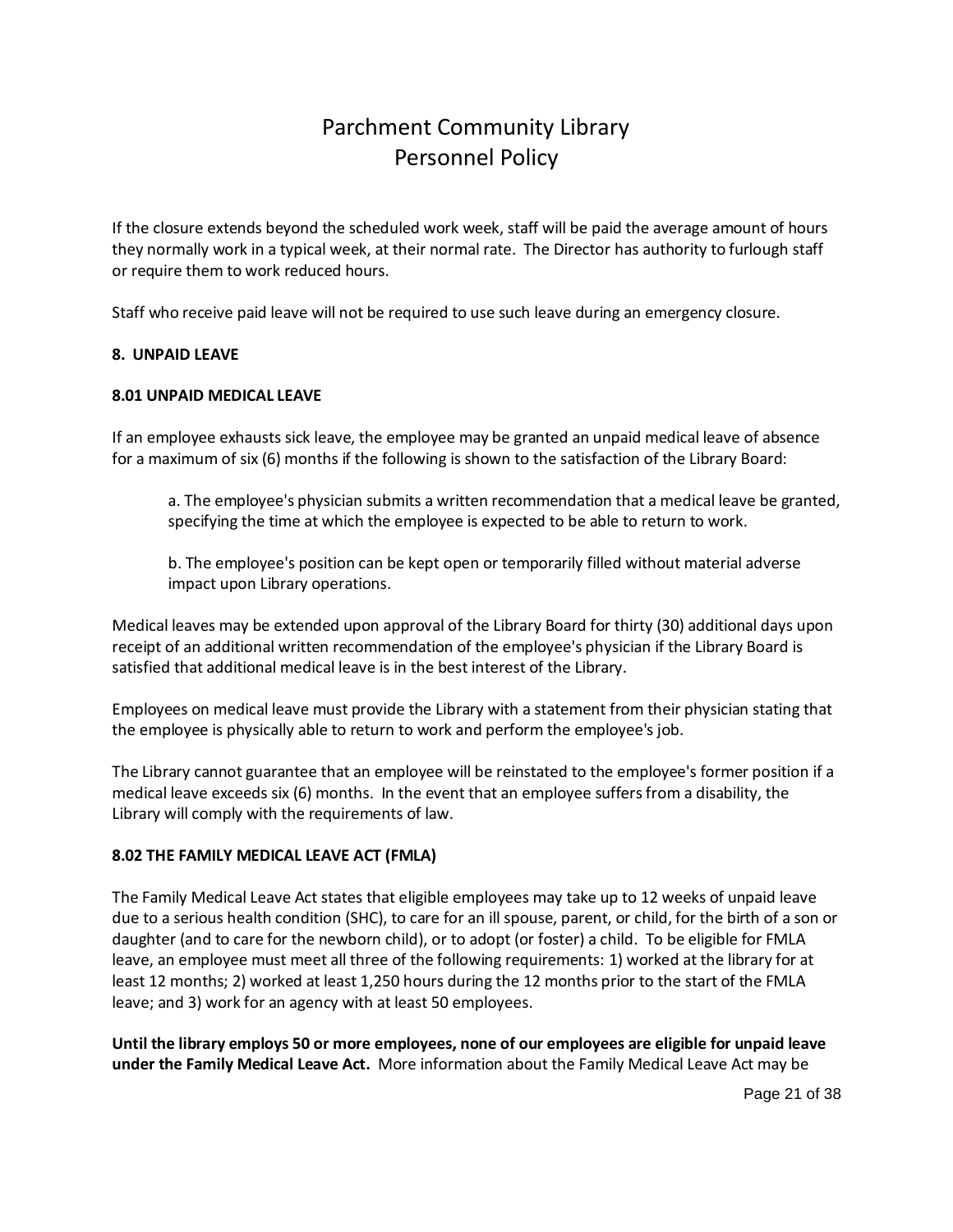If the closure extends beyond the scheduled work week, staff will be paid the average amount of hours they normally work in a typical week, at their normal rate. The Director has authority to furlough staff or require them to work reduced hours.

Staff who receive paid leave will not be required to use such leave during an emergency closure.

### <span id="page-20-0"></span>**8. UNPAID LEAVE**

### **8.01 UNPAID MEDICAL LEAVE**

If an employee exhausts sick leave, the employee may be granted an unpaid medical leave of absence for a maximum of six (6) months if the following is shown to the satisfaction of the Library Board:

<span id="page-20-1"></span>a. The employee's physician submits a written recommendation that a medical leave be granted, specifying the time at which the employee is expected to be able to return to work.

b. The employee's position can be kept open or temporarily filled without material adverse impact upon Library operations.

Medical leaves may be extended upon approval of the Library Board for thirty (30) additional days upon receipt of an additional written recommendation of the employee's physician if the Library Board is satisfied that additional medical leave is in the best interest of the Library.

Employees on medical leave must provide the Library with a statement from their physician stating that the employee is physically able to return to work and perform the employee's job.

The Library cannot guarantee that an employee will be reinstated to the employee's former position if a medical leave exceeds six (6) months. In the event that an employee suffers from a disability, the Library will comply with the requirements of law.

#### <span id="page-20-2"></span>**8.02 THE FAMILY MEDICAL LEAVE ACT (FMLA)**

The Family Medical Leave Act states that eligible employees may take up to 12 weeks of unpaid leave due to a serious health condition (SHC), to care for an ill spouse, parent, or child, for the birth of a son or daughter (and to care for the newborn child), or to adopt (or foster) a child. To be eligible for FMLA leave, an employee must meet all three of the following requirements: 1) worked at the library for at least 12 months; 2) worked at least 1,250 hours during the 12 months prior to the start of the FMLA leave; and 3) work for an agency with at least 50 employees.

**Until the library employs 50 or more employees, none of our employees are eligible for unpaid leave under the Family Medical Leave Act.** More information about the Family Medical Leave Act may be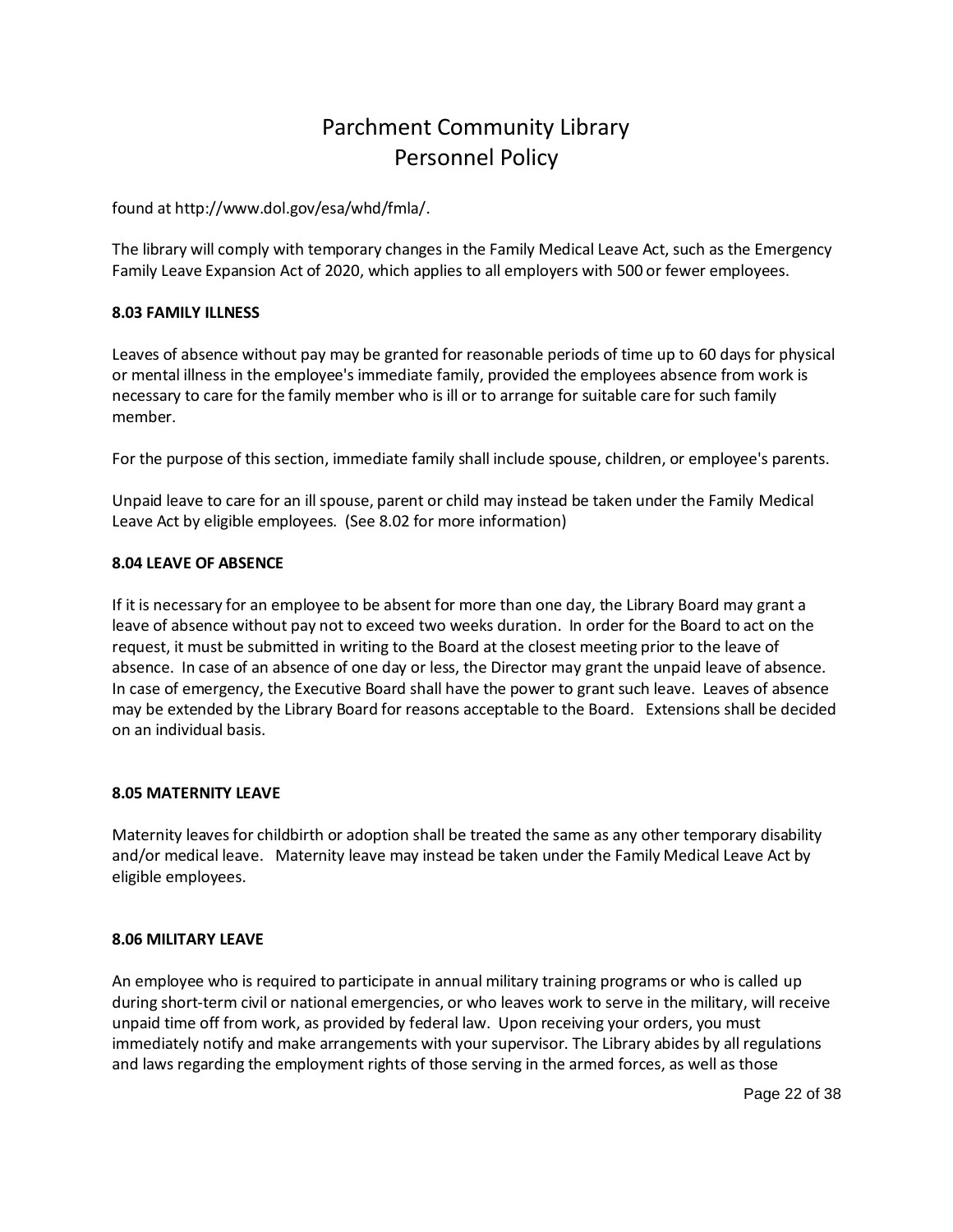found at http://www.dol.gov/esa/whd/fmla/.

The library will comply with temporary changes in the Family Medical Leave Act, such as the Emergency Family Leave Expansion Act of 2020, which applies to all employers with 500 or fewer employees.

### <span id="page-21-0"></span>**8.03 FAMILY ILLNESS**

Leaves of absence without pay may be granted for reasonable periods of time up to 60 days for physical or mental illness in the employee's immediate family, provided the employees absence from work is necessary to care for the family member who is ill or to arrange for suitable care for such family member.

For the purpose of this section, immediate family shall include spouse, children, or employee's parents.

Unpaid leave to care for an ill spouse, parent or child may instead be taken under the Family Medical Leave Act by eligible employees. (See 8.02 for more information)

### <span id="page-21-1"></span>**8.04 LEAVE OF ABSENCE**

If it is necessary for an employee to be absent for more than one day, the Library Board may grant a leave of absence without pay not to exceed two weeks duration. In order for the Board to act on the request, it must be submitted in writing to the Board at the closest meeting prior to the leave of absence. In case of an absence of one day or less, the Director may grant the unpaid leave of absence. In case of emergency, the Executive Board shall have the power to grant such leave. Leaves of absence may be extended by the Library Board for reasons acceptable to the Board. Extensions shall be decided on an individual basis.

#### <span id="page-21-2"></span>**8.05 MATERNITY LEAVE**

Maternity leaves for childbirth or adoption shall be treated the same as any other temporary disability and/or medical leave. Maternity leave may instead be taken under the Family Medical Leave Act by eligible employees.

#### <span id="page-21-3"></span>**8.06 MILITARY LEAVE**

An employee who is required to participate in annual military training programs or who is called up during short-term civil or national emergencies, or who leaves work to serve in the military, will receive unpaid time off from work, as provided by federal law. Upon receiving your orders, you must immediately notify and make arrangements with your supervisor. The Library abides by all regulations and laws regarding the employment rights of those serving in the armed forces, as well as those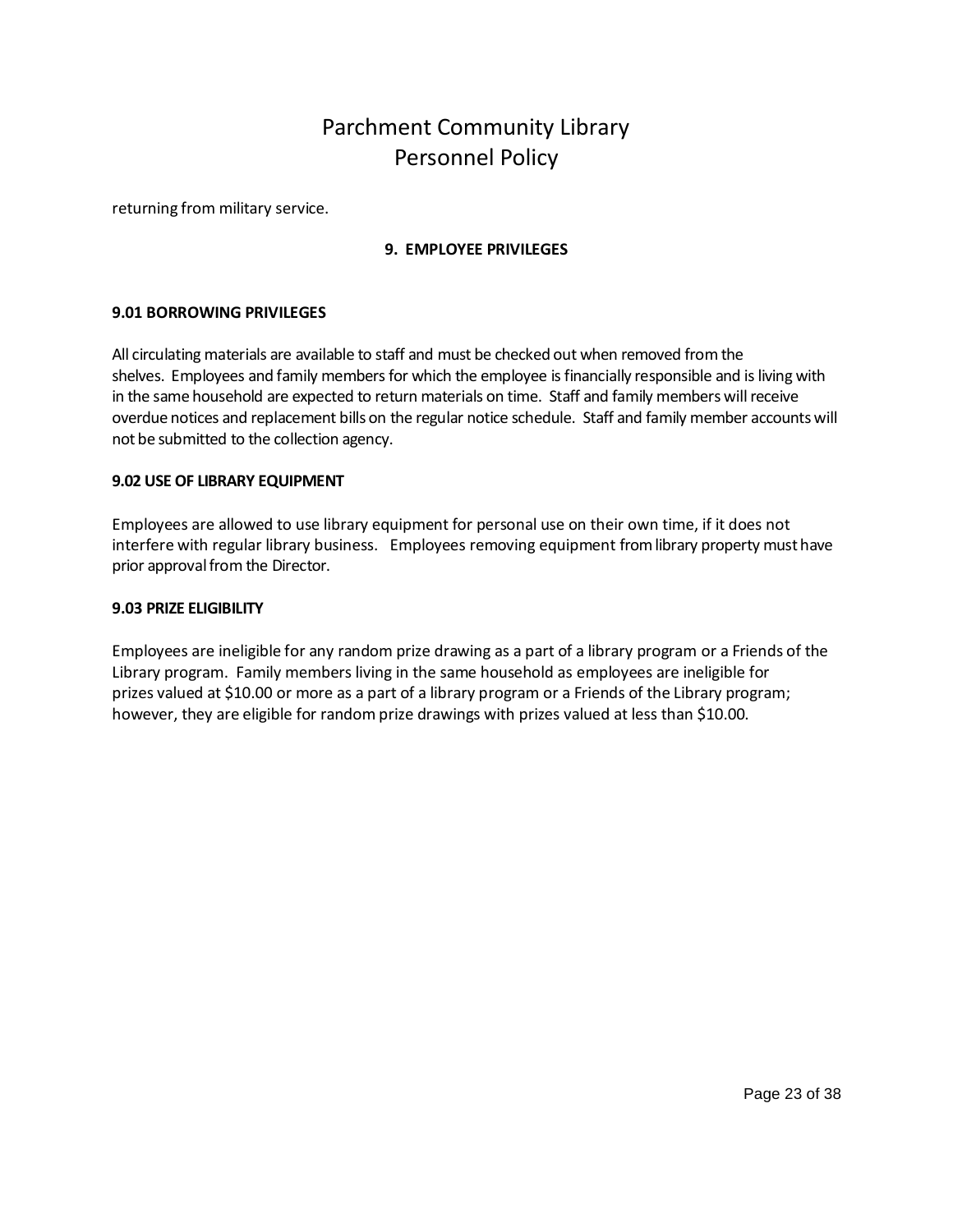returning from military service.

## <span id="page-22-1"></span><span id="page-22-0"></span>**9. EMPLOYEE PRIVILEGES**

### **9.01 BORROWING PRIVILEGES**

All circulating materials are available to staff and must be checked out when removed from the shelves. Employees and family members for which the employee is financially responsible and is living with in the same household are expected to return materials on time. Staff and family members will receive overdue notices and replacement bills on the regular notice schedule. Staff and family member accounts will not be submitted to the collection agency.

#### <span id="page-22-2"></span>**9.02 USE OF LIBRARY EQUIPMENT**

Employees are allowed to use library equipment for personal use on their own time, if it does not interfere with regular library business. Employees removing equipment from library property must have prior approval from the Director.

#### <span id="page-22-3"></span>**9.03 PRIZE ELIGIBILITY**

Employees are ineligible for any random prize drawing as a part of a library program or a Friends of the Library program. Family members living in the same household as employees are ineligible for prizes valued at \$10.00 or more as a part of a library program or a Friends of the Library program; however, they are eligible for random prize drawings with prizes valued at less than \$10.00.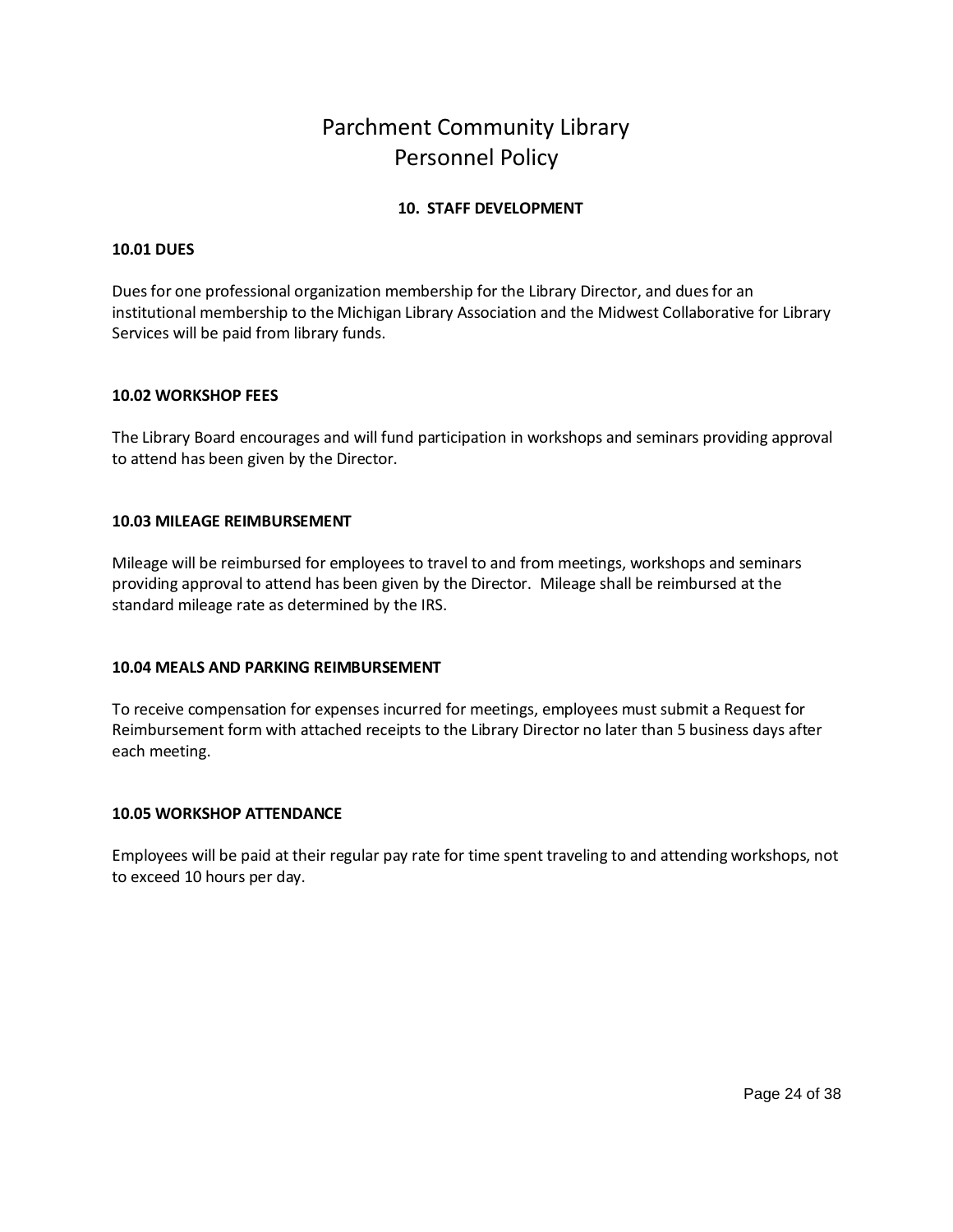## <span id="page-23-0"></span>**10. STAFF DEVELOPMENT**

### <span id="page-23-1"></span>**10.01 DUES**

Dues for one professional organization membership for the Library Director, and dues for an institutional membership to the Michigan Library Association and the Midwest Collaborative for Library Services will be paid from library funds.

### <span id="page-23-2"></span>**10.02 WORKSHOP FEES**

The Library Board encourages and will fund participation in workshops and seminars providing approval to attend has been given by the Director.

### <span id="page-23-3"></span>**10.03 MILEAGE REIMBURSEMENT**

Mileage will be reimbursed for employees to travel to and from meetings, workshops and seminars providing approval to attend has been given by the Director. Mileage shall be reimbursed at the standard mileage rate as determined by the IRS.

## <span id="page-23-4"></span>**10.04 MEALS AND PARKING REIMBURSEMENT**

To receive compensation for expenses incurred for meetings, employees must submit a Request for Reimbursement form with attached receipts to the Library Director no later than 5 business days after each meeting.

#### <span id="page-23-5"></span>**10.05 WORKSHOP ATTENDANCE**

Employees will be paid at their regular pay rate for time spent traveling to and attending workshops, not to exceed 10 hours per day.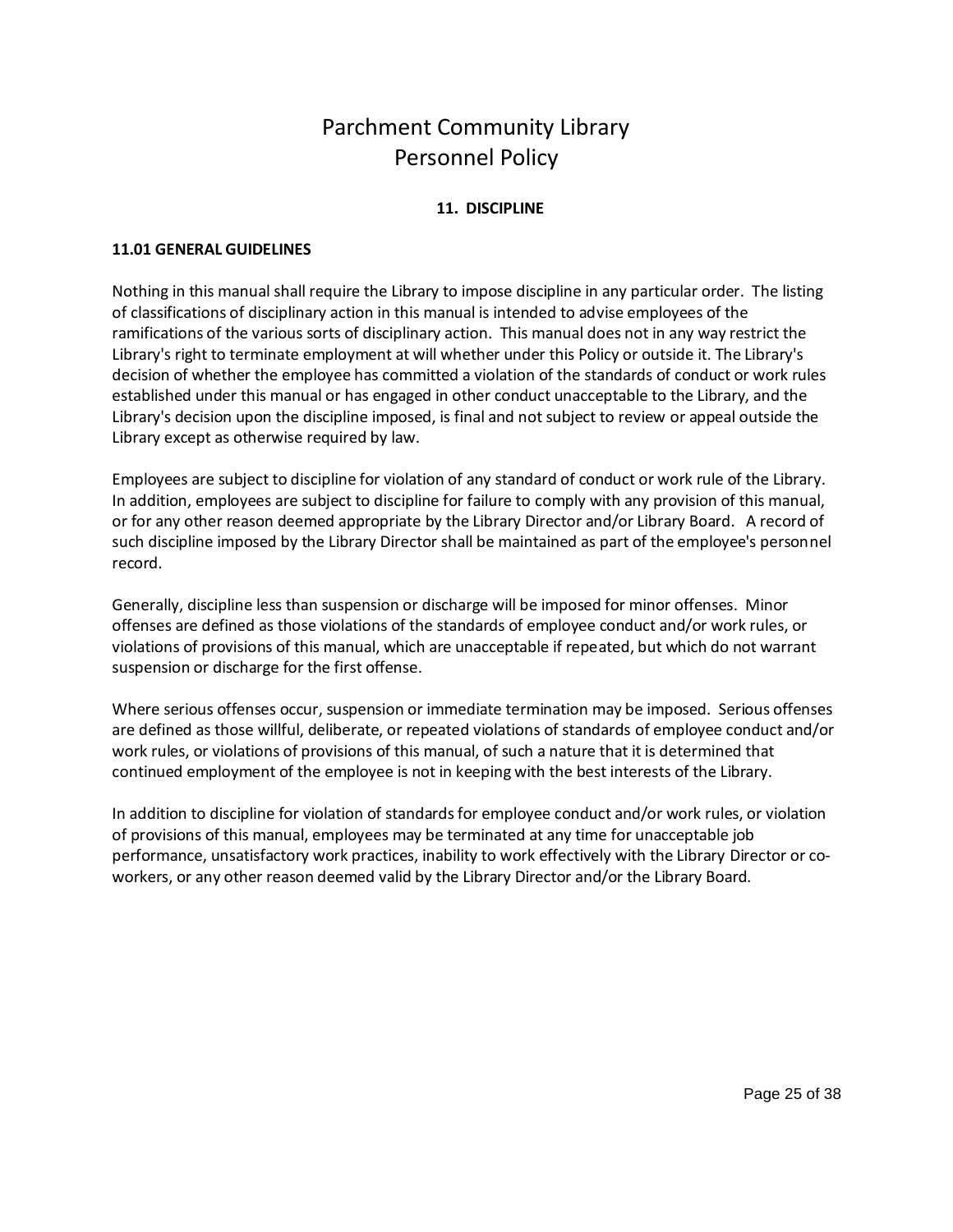## <span id="page-24-1"></span><span id="page-24-0"></span>**11. DISCIPLINE**

### **11.01 GENERAL GUIDELINES**

Nothing in this manual shall require the Library to impose discipline in any particular order. The listing of classifications of disciplinary action in this manual is intended to advise employees of the ramifications of the various sorts of disciplinary action. This manual does not in any way restrict the Library's right to terminate employment at will whether under this Policy or outside it. The Library's decision of whether the employee has committed a violation of the standards of conduct or work rules established under this manual or has engaged in other conduct unacceptable to the Library, and the Library's decision upon the discipline imposed, is final and not subject to review or appeal outside the Library except as otherwise required by law.

Employees are subject to discipline for violation of any standard of conduct or work rule of the Library. In addition, employees are subject to discipline for failure to comply with any provision of this manual, or for any other reason deemed appropriate by the Library Director and/or Library Board. A record of such discipline imposed by the Library Director shall be maintained as part of the employee's personnel record.

Generally, discipline less than suspension or discharge will be imposed for minor offenses. Minor offenses are defined as those violations of the standards of employee conduct and/or work rules, or violations of provisions of this manual, which are unacceptable if repeated, but which do not warrant suspension or discharge for the first offense.

Where serious offenses occur, suspension or immediate termination may be imposed. Serious offenses are defined as those willful, deliberate, or repeated violations of standards of employee conduct and/or work rules, or violations of provisions of this manual, of such a nature that it is determined that continued employment of the employee is not in keeping with the best interests of the Library.

In addition to discipline for violation of standards for employee conduct and/or work rules, or violation of provisions of this manual, employees may be terminated at any time for unacceptable job performance, unsatisfactory work practices, inability to work effectively with the Library Director or coworkers, or any other reason deemed valid by the Library Director and/or the Library Board.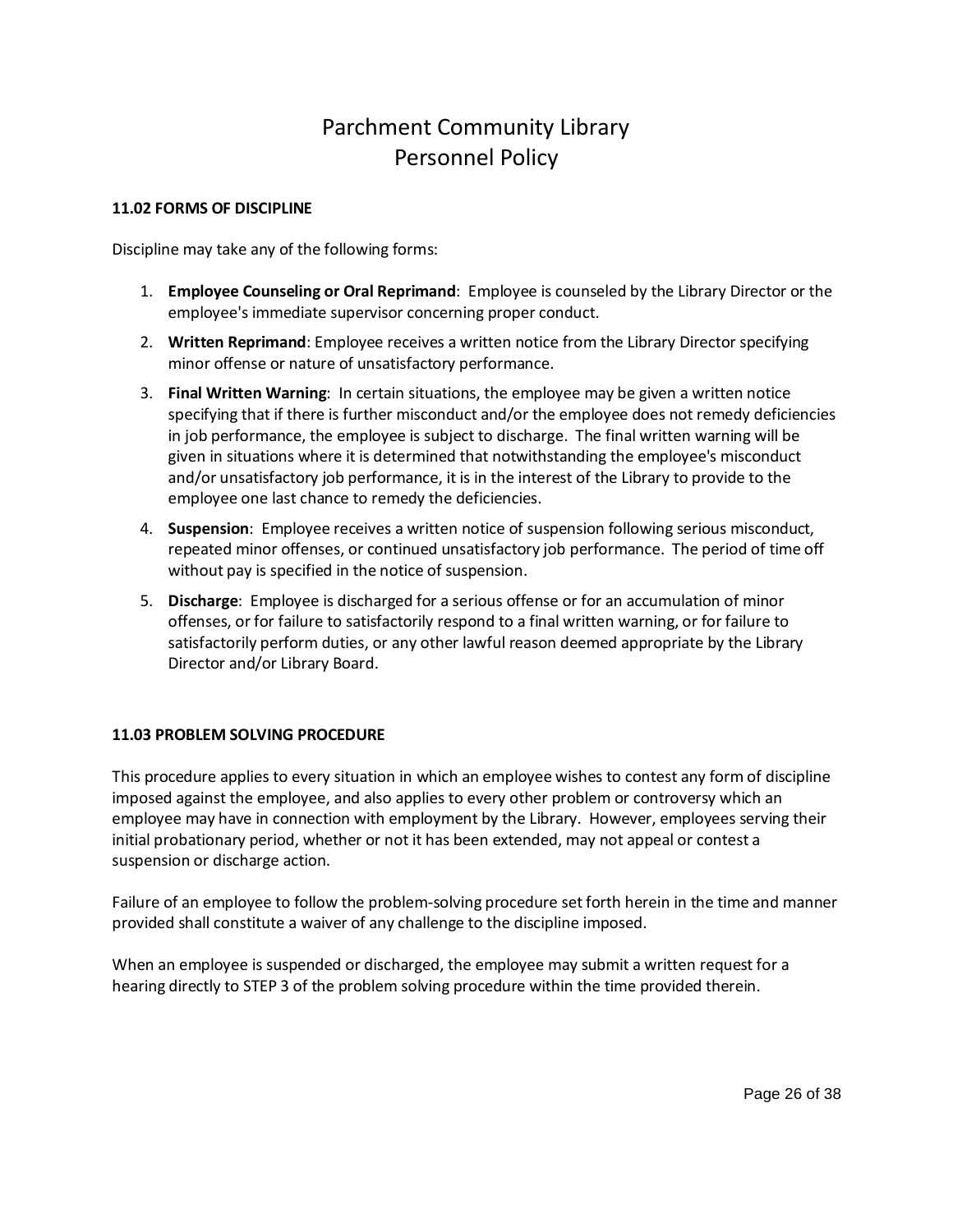### **11.02 FORMS OF DISCIPLINE**

Discipline may take any of the following forms:

- <span id="page-25-0"></span>1. **Employee Counseling or Oral Reprimand**: Employee is counseled by the Library Director or the employee's immediate supervisor concerning proper conduct.
- 2. **Written Reprimand**: Employee receives a written notice from the Library Director specifying minor offense or nature of unsatisfactory performance.
- 3. **Final Written Warning**: In certain situations, the employee may be given a written notice specifying that if there is further misconduct and/or the employee does not remedy deficiencies in job performance, the employee is subject to discharge. The final written warning will be given in situations where it is determined that notwithstanding the employee's misconduct and/or unsatisfactory job performance, it is in the interest of the Library to provide to the employee one last chance to remedy the deficiencies.
- 4. **Suspension**: Employee receives a written notice of suspension following serious misconduct, repeated minor offenses, or continued unsatisfactory job performance. The period of time off without pay is specified in the notice of suspension.
- 5. **Discharge**: Employee is discharged for a serious offense or for an accumulation of minor offenses, or for failure to satisfactorily respond to a final written warning, or for failure to satisfactorily perform duties, or any other lawful reason deemed appropriate by the Library Director and/or Library Board.

## <span id="page-25-1"></span>**11.03 PROBLEM SOLVING PROCEDURE**

This procedure applies to every situation in which an employee wishes to contest any form of discipline imposed against the employee, and also applies to every other problem or controversy which an employee may have in connection with employment by the Library. However, employees serving their initial probationary period, whether or not it has been extended, may not appeal or contest a suspension or discharge action.

Failure of an employee to follow the problem-solving procedure set forth herein in the time and manner provided shall constitute a waiver of any challenge to the discipline imposed.

When an employee is suspended or discharged, the employee may submit a written request for a hearing directly to STEP 3 of the problem solving procedure within the time provided therein.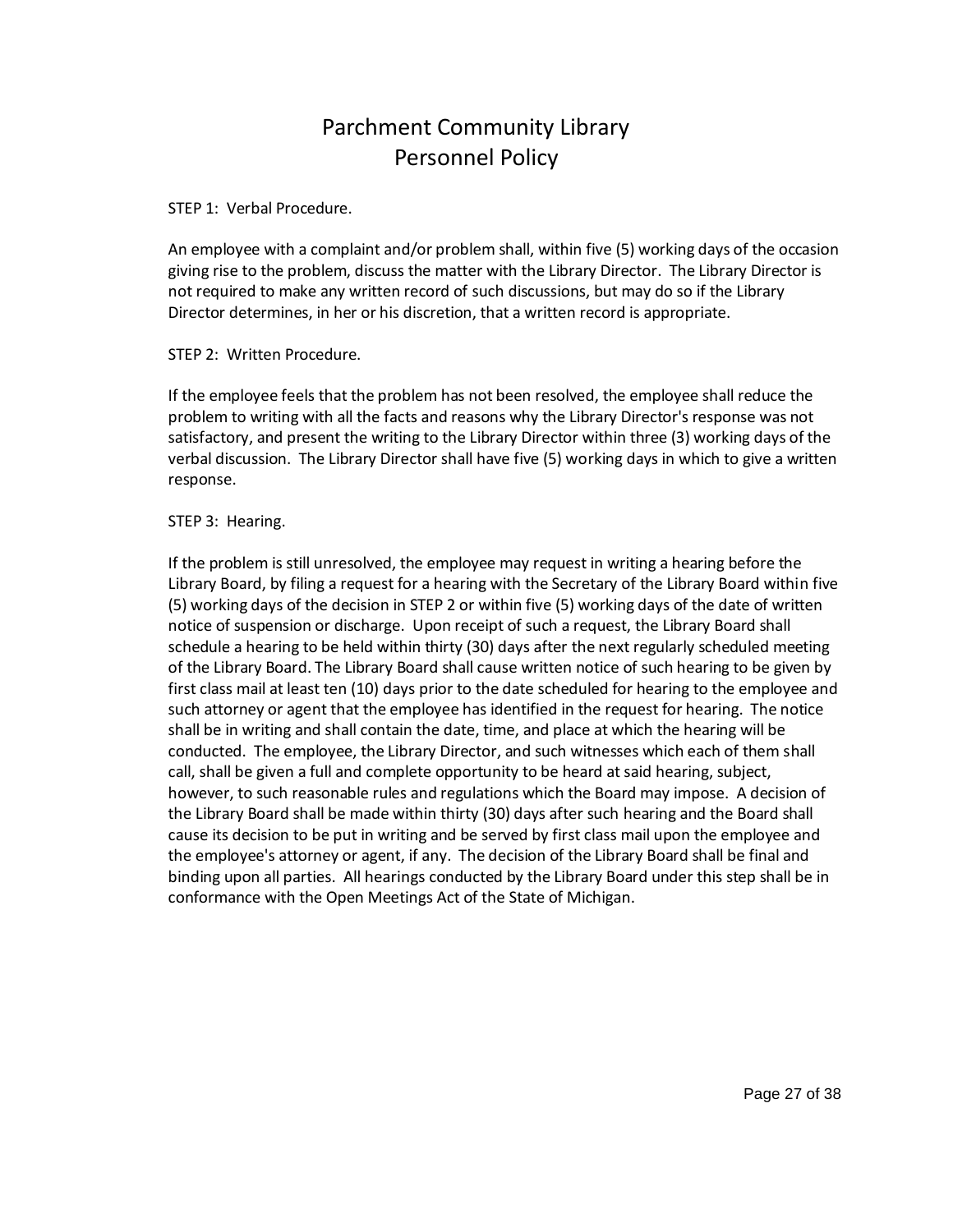### STEP 1: Verbal Procedure.

An employee with a complaint and/or problem shall, within five (5) working days of the occasion giving rise to the problem, discuss the matter with the Library Director. The Library Director is not required to make any written record of such discussions, but may do so if the Library Director determines, in her or his discretion, that a written record is appropriate.

### STEP 2: Written Procedure.

If the employee feels that the problem has not been resolved, the employee shall reduce the problem to writing with all the facts and reasons why the Library Director's response was not satisfactory, and present the writing to the Library Director within three (3) working days of the verbal discussion. The Library Director shall have five (5) working days in which to give a written response.

### STEP 3: Hearing.

If the problem is still unresolved, the employee may request in writing a hearing before the Library Board, by filing a request for a hearing with the Secretary of the Library Board within five (5) working days of the decision in STEP 2 or within five (5) working days of the date of written notice of suspension or discharge. Upon receipt of such a request, the Library Board shall schedule a hearing to be held within thirty (30) days after the next regularly scheduled meeting of the Library Board. The Library Board shall cause written notice of such hearing to be given by first class mail at least ten (10) days prior to the date scheduled for hearing to the employee and such attorney or agent that the employee has identified in the request for hearing. The notice shall be in writing and shall contain the date, time, and place at which the hearing will be conducted. The employee, the Library Director, and such witnesses which each of them shall call, shall be given a full and complete opportunity to be heard at said hearing, subject, however, to such reasonable rules and regulations which the Board may impose. A decision of the Library Board shall be made within thirty (30) days after such hearing and the Board shall cause its decision to be put in writing and be served by first class mail upon the employee and the employee's attorney or agent, if any. The decision of the Library Board shall be final and binding upon all parties. All hearings conducted by the Library Board under this step shall be in conformance with the Open Meetings Act of the State of Michigan.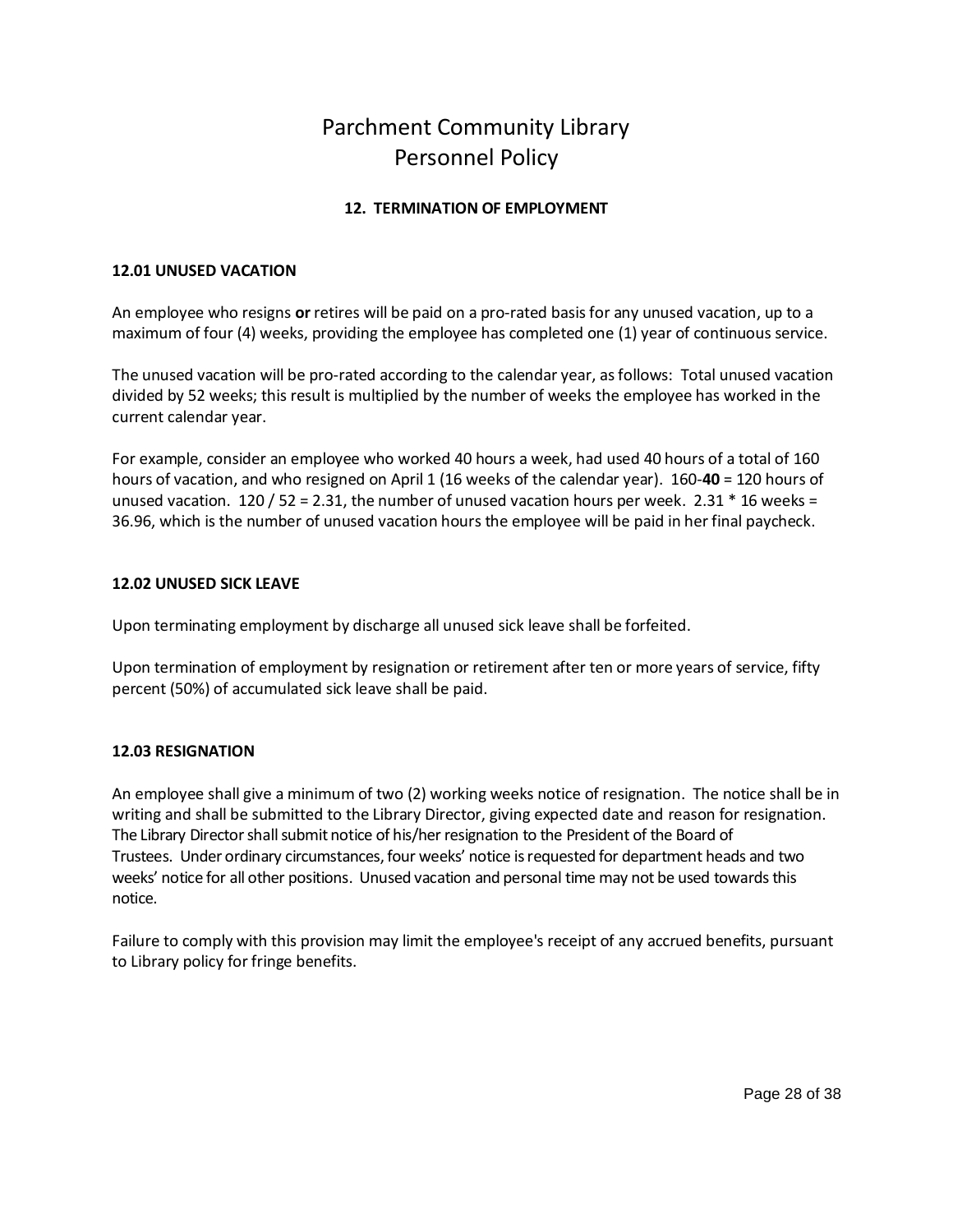## <span id="page-27-1"></span><span id="page-27-0"></span>**12. TERMINATION OF EMPLOYMENT**

### **12.01 UNUSED VACATION**

An employee who resigns **or** retires will be paid on a pro-rated basis for any unused vacation, up to a maximum of four (4) weeks, providing the employee has completed one (1) year of continuous service.

The unused vacation will be pro-rated according to the calendar year, as follows: Total unused vacation divided by 52 weeks; this result is multiplied by the number of weeks the employee has worked in the current calendar year.

For example, consider an employee who worked 40 hours a week, had used 40 hours of a total of 160 hours of vacation, and who resigned on April 1 (16 weeks of the calendar year). 160-**40** = 120 hours of unused vacation. 120 / 52 = 2.31, the number of unused vacation hours per week. 2.31  $*$  16 weeks = 36.96, which is the number of unused vacation hours the employee will be paid in her final paycheck.

#### <span id="page-27-2"></span>**12.02 UNUSED SICK LEAVE**

Upon terminating employment by discharge all unused sick leave shall be forfeited.

Upon termination of employment by resignation or retirement after ten or more years of service, fifty percent (50%) of accumulated sick leave shall be paid.

#### <span id="page-27-3"></span>**12.03 RESIGNATION**

An employee shall give a minimum of two (2) working weeks notice of resignation. The notice shall be in writing and shall be submitted to the Library Director, giving expected date and reason for resignation. The Library Director shall submit notice of his/her resignation to the President of the Board of Trustees. Under ordinary circumstances, four weeks' notice is requested for department heads and two weeks' notice for all other positions. Unused vacation and personal time may not be used towards this notice.

Failure to comply with this provision may limit the employee's receipt of any accrued benefits, pursuant to Library policy for fringe benefits.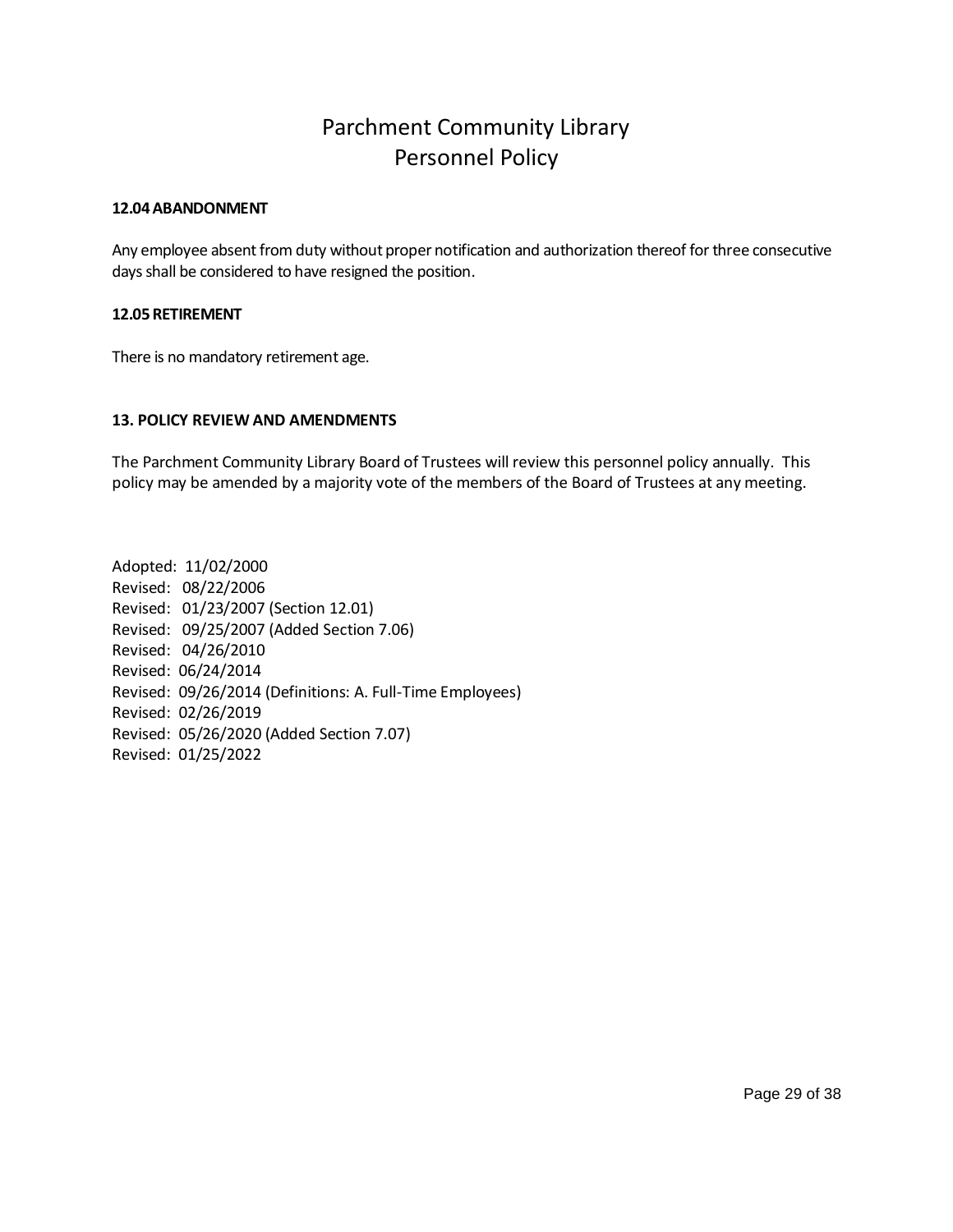#### <span id="page-28-0"></span>**12.04 ABANDONMENT**

Any employee absent from duty without proper notification and authorization thereof for three consecutive days shall be considered to have resigned the position.

### <span id="page-28-1"></span>**12.05RETIREMENT**

There is no mandatory retirement age.

## <span id="page-28-2"></span>**13. POLICY REVIEW AND AMENDMENTS**

The Parchment Community Library Board of Trustees will review this personnel policy annually. This policy may be amended by a majority vote of the members of the Board of Trustees at any meeting.

Adopted: 11/02/2000 Revised: 08/22/2006 Revised: 01/23/2007 (Section 12.01) Revised: 09/25/2007 (Added Section 7.06) Revised: 04/26/2010 Revised: 06/24/2014 Revised: 09/26/2014 (Definitions: A. Full-Time Employees) Revised: 02/26/2019 Revised: 05/26/2020 (Added Section 7.07) Revised: 01/25/2022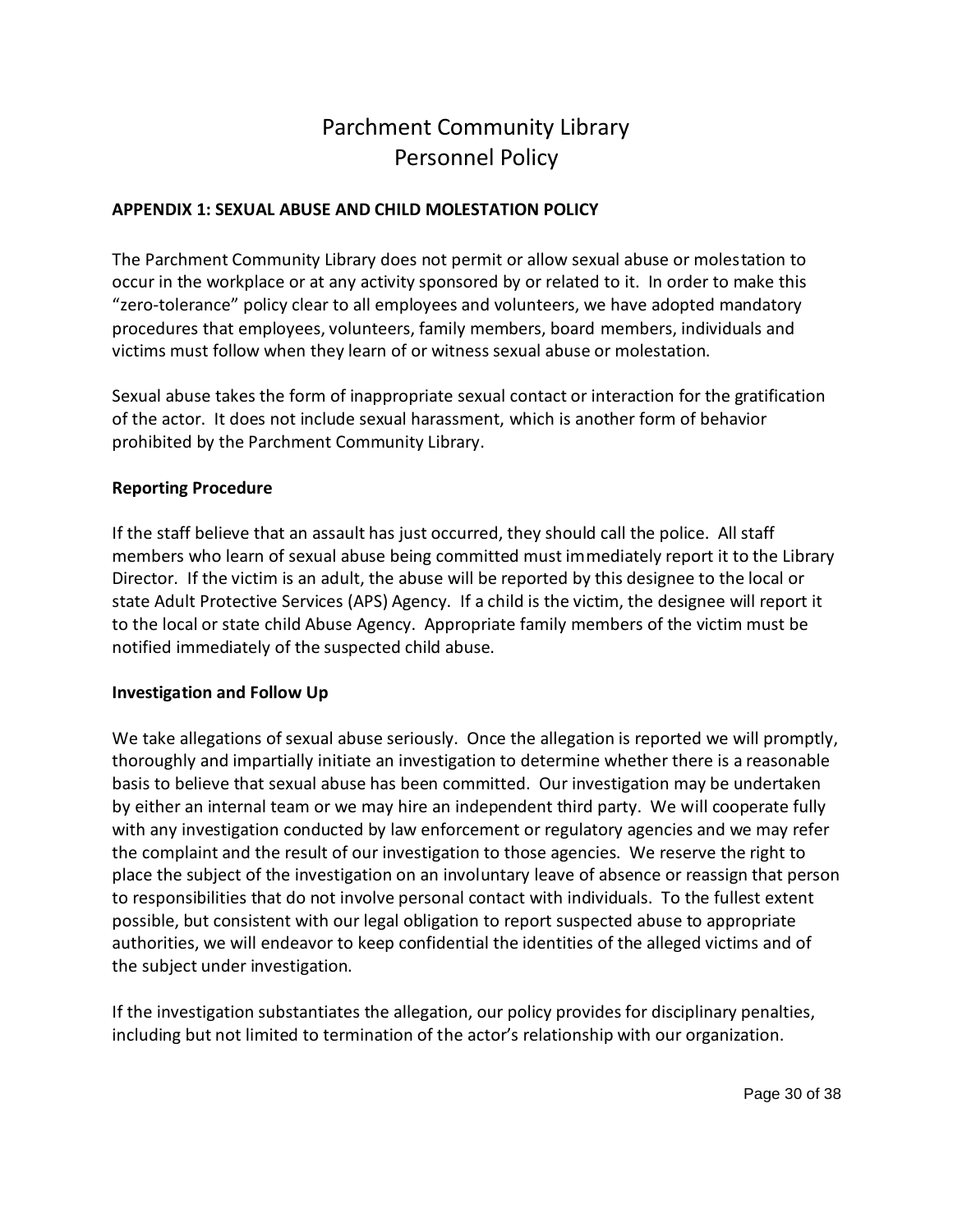## <span id="page-29-0"></span>**APPENDIX 1: SEXUAL ABUSE AND CHILD MOLESTATION POLICY**

The Parchment Community Library does not permit or allow sexual abuse or molestation to occur in the workplace or at any activity sponsored by or related to it. In order to make this "zero-tolerance" policy clear to all employees and volunteers, we have adopted mandatory procedures that employees, volunteers, family members, board members, individuals and victims must follow when they learn of or witness sexual abuse or molestation.

Sexual abuse takes the form of inappropriate sexual contact or interaction for the gratification of the actor. It does not include sexual harassment, which is another form of behavior prohibited by the Parchment Community Library.

## **Reporting Procedure**

If the staff believe that an assault has just occurred, they should call the police. All staff members who learn of sexual abuse being committed must immediately report it to the Library Director. If the victim is an adult, the abuse will be reported by this designee to the local or state Adult Protective Services (APS) Agency. If a child is the victim, the designee will report it to the local or state child Abuse Agency. Appropriate family members of the victim must be notified immediately of the suspected child abuse.

## **Investigation and Follow Up**

We take allegations of sexual abuse seriously. Once the allegation is reported we will promptly, thoroughly and impartially initiate an investigation to determine whether there is a reasonable basis to believe that sexual abuse has been committed. Our investigation may be undertaken by either an internal team or we may hire an independent third party. We will cooperate fully with any investigation conducted by law enforcement or regulatory agencies and we may refer the complaint and the result of our investigation to those agencies. We reserve the right to place the subject of the investigation on an involuntary leave of absence or reassign that person to responsibilities that do not involve personal contact with individuals. To the fullest extent possible, but consistent with our legal obligation to report suspected abuse to appropriate authorities, we will endeavor to keep confidential the identities of the alleged victims and of the subject under investigation.

If the investigation substantiates the allegation, our policy provides for disciplinary penalties, including but not limited to termination of the actor's relationship with our organization.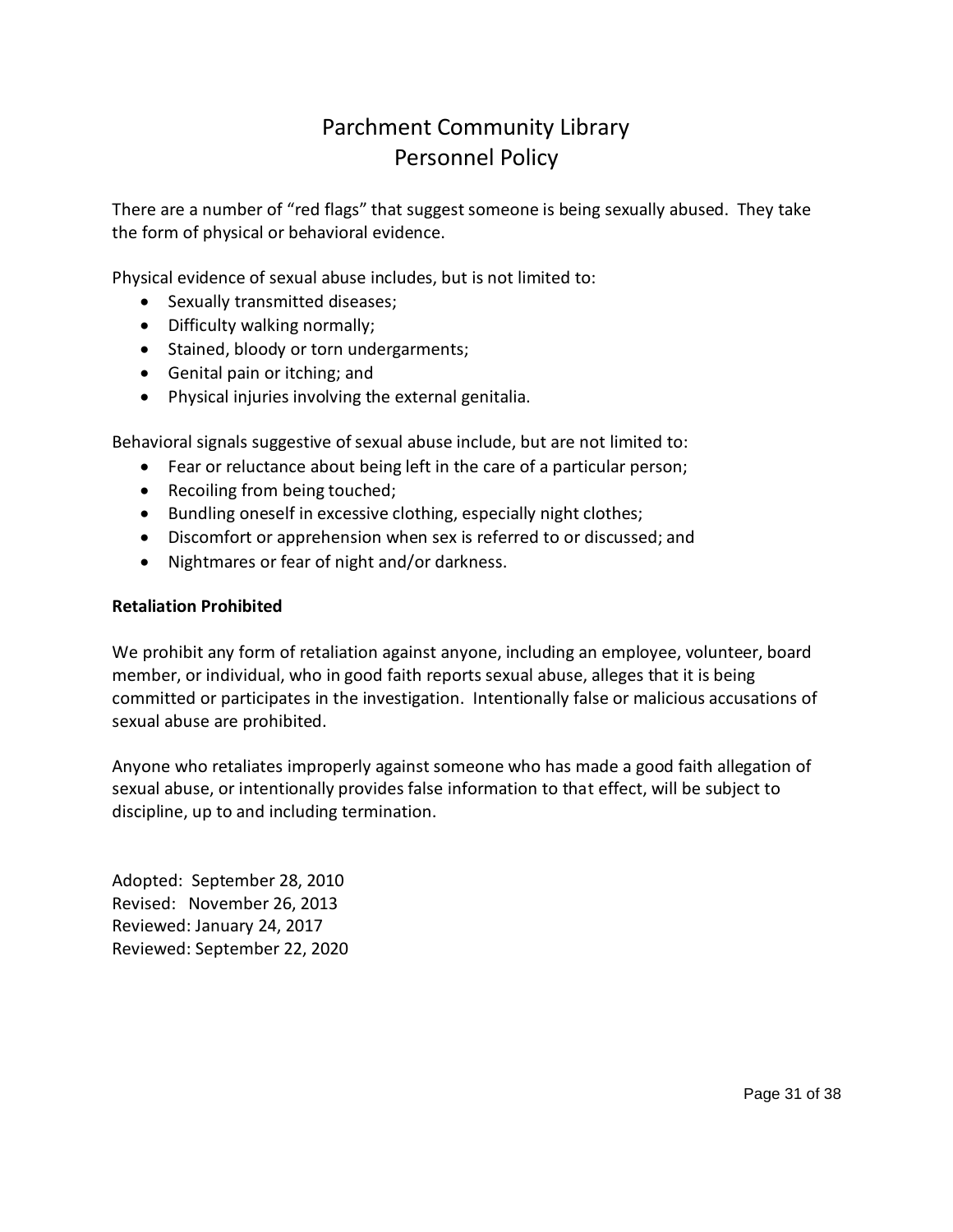There are a number of "red flags" that suggest someone is being sexually abused. They take the form of physical or behavioral evidence.

Physical evidence of sexual abuse includes, but is not limited to:

- Sexually transmitted diseases;
- Difficulty walking normally;
- Stained, bloody or torn undergarments;
- Genital pain or itching; and
- Physical injuries involving the external genitalia.

Behavioral signals suggestive of sexual abuse include, but are not limited to:

- Fear or reluctance about being left in the care of a particular person;
- Recoiling from being touched;
- Bundling oneself in excessive clothing, especially night clothes;
- Discomfort or apprehension when sex is referred to or discussed; and
- Nightmares or fear of night and/or darkness.

## **Retaliation Prohibited**

We prohibit any form of retaliation against anyone, including an employee, volunteer, board member, or individual, who in good faith reports sexual abuse, alleges that it is being committed or participates in the investigation. Intentionally false or malicious accusations of sexual abuse are prohibited.

Anyone who retaliates improperly against someone who has made a good faith allegation of sexual abuse, or intentionally provides false information to that effect, will be subject to discipline, up to and including termination.

Adopted: September 28, 2010 Revised: November 26, 2013 Reviewed: January 24, 2017 Reviewed: September 22, 2020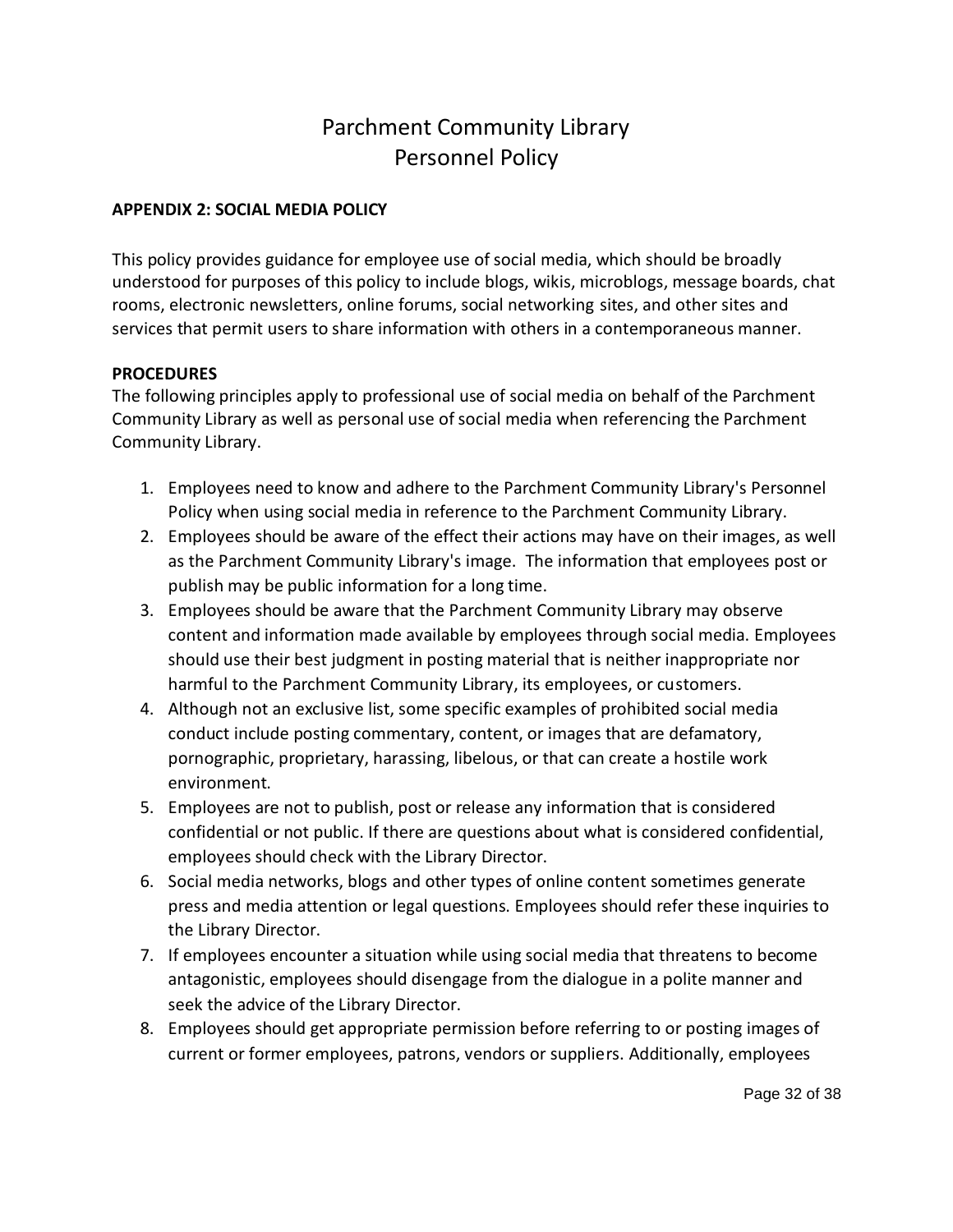## <span id="page-31-0"></span>**APPENDIX 2: SOCIAL MEDIA POLICY**

This policy provides guidance for employee use of social media, which should be broadly understood for purposes of this policy to include blogs, wikis, microblogs, message boards, chat rooms, electronic newsletters, online forums, social networking sites, and other sites and services that permit users to share information with others in a contemporaneous manner.

## **PROCEDURES**

The following principles apply to professional use of social media on behalf of the Parchment Community Library as well as personal use of social media when referencing the Parchment Community Library.

- 1. Employees need to know and adhere to the Parchment Community Library's Personnel Policy when using social media in reference to the Parchment Community Library.
- 2. Employees should be aware of the effect their actions may have on their images, as well as the Parchment Community Library's image. The information that employees post or publish may be public information for a long time.
- 3. Employees should be aware that the Parchment Community Library may observe content and information made available by employees through social media. Employees should use their best judgment in posting material that is neither inappropriate nor harmful to the Parchment Community Library, its employees, or customers.
- 4. Although not an exclusive list, some specific examples of prohibited social media conduct include posting commentary, content, or images that are defamatory, pornographic, proprietary, harassing, libelous, or that can create a hostile work environment.
- 5. Employees are not to publish, post or release any information that is considered confidential or not public. If there are questions about what is considered confidential, employees should check with the Library Director.
- 6. Social media networks, blogs and other types of online content sometimes generate press and media attention or legal questions. Employees should refer these inquiries to the Library Director.
- 7. If employees encounter a situation while using social media that threatens to become antagonistic, employees should disengage from the dialogue in a polite manner and seek the advice of the Library Director.
- 8. Employees should get appropriate permission before referring to or posting images of current or former employees, patrons, vendors or suppliers. Additionally, employees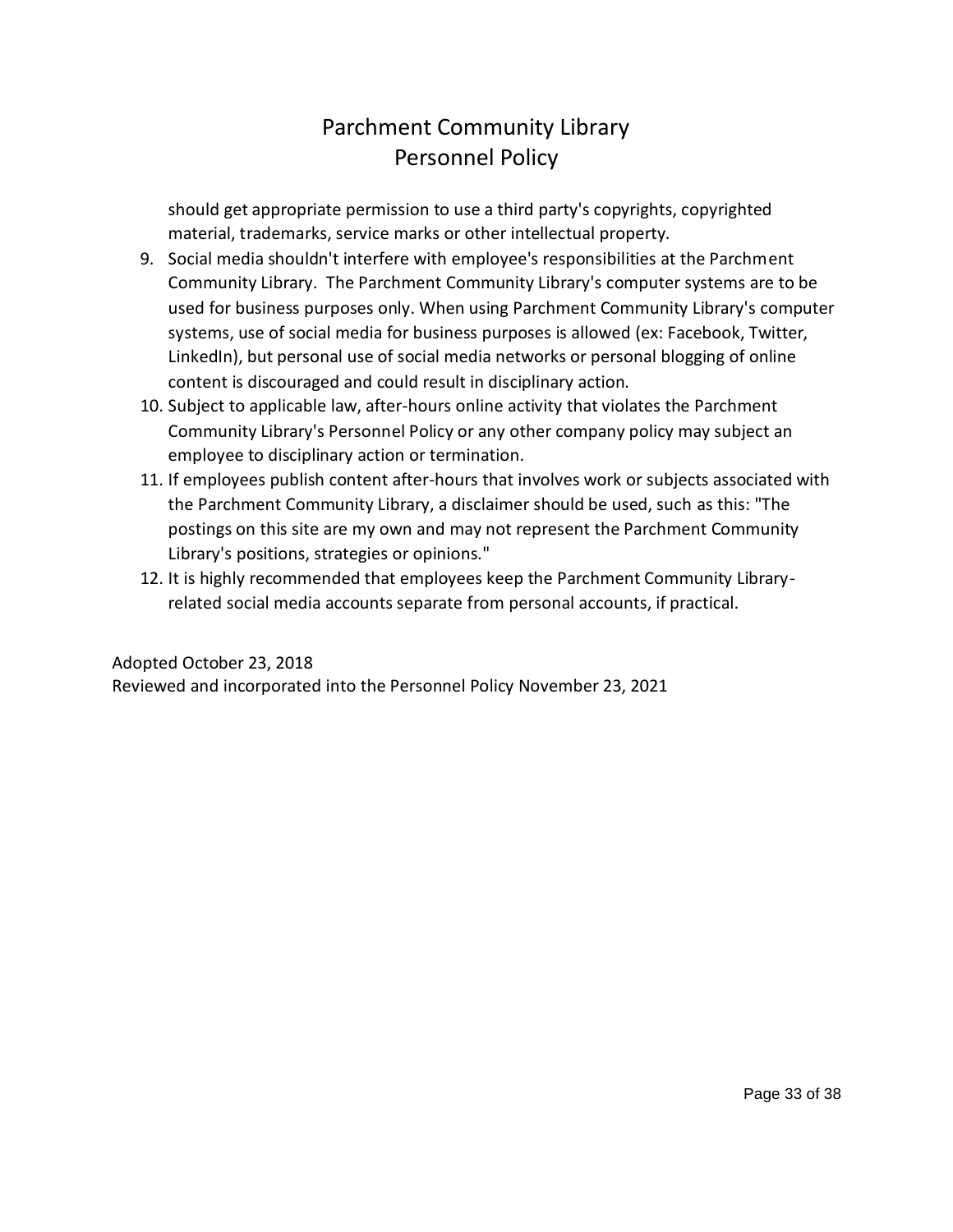should get appropriate permission to use a third party's copyrights, copyrighted material, trademarks, service marks or other intellectual property.

- 9. Social media shouldn't interfere with employee's responsibilities at the Parchment Community Library. The Parchment Community Library's computer systems are to be used for business purposes only. When using Parchment Community Library's computer systems, use of social media for business purposes is allowed (ex: Facebook, Twitter, LinkedIn), but personal use of social media networks or personal blogging of online content is discouraged and could result in disciplinary action.
- 10. Subject to applicable law, after-hours online activity that violates the Parchment Community Library's Personnel Policy or any other company policy may subject an employee to disciplinary action or termination.
- 11. If employees publish content after-hours that involves work or subjects associated with the Parchment Community Library, a disclaimer should be used, such as this: "The postings on this site are my own and may not represent the Parchment Community Library's positions, strategies or opinions."
- 12. It is highly recommended that employees keep the Parchment Community Libraryrelated social media accounts separate from personal accounts, if practical.

## Adopted October 23, 2018

Reviewed and incorporated into the Personnel Policy November 23, 2021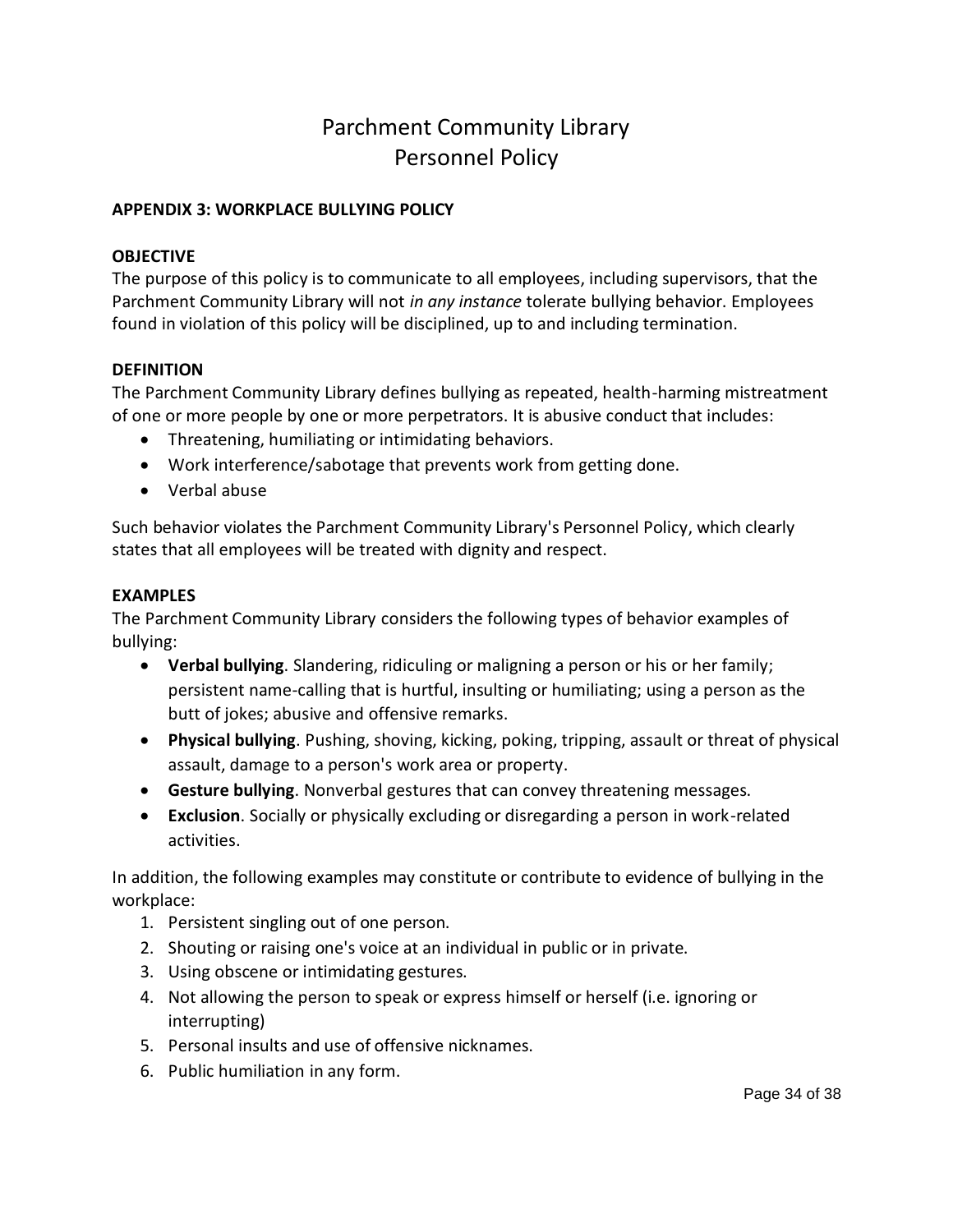## <span id="page-33-0"></span>**APPENDIX 3: WORKPLACE BULLYING POLICY**

## **OBJECTIVE**

The purpose of this policy is to communicate to all employees, including supervisors, that the Parchment Community Library will not *in any instance* tolerate bullying behavior. Employees found in violation of this policy will be disciplined, up to and including termination.

## **DEFINITION**

The Parchment Community Library defines bullying as repeated, health-harming mistreatment of one or more people by one or more perpetrators. It is abusive conduct that includes:

- Threatening, humiliating or intimidating behaviors.
- Work interference/sabotage that prevents work from getting done.
- Verbal abuse

Such behavior violates the Parchment Community Library's Personnel Policy, which clearly states that all employees will be treated with dignity and respect.

## **EXAMPLES**

The Parchment Community Library considers the following types of behavior examples of bullying:

- **Verbal bullying**. Slandering, ridiculing or maligning a person or his or her family; persistent name-calling that is hurtful, insulting or humiliating; using a person as the butt of jokes; abusive and offensive remarks.
- **Physical bullying**. Pushing, shoving, kicking, poking, tripping, assault or threat of physical assault, damage to a person's work area or property.
- **Gesture bullying**. Nonverbal gestures that can convey threatening messages.
- **Exclusion**. Socially or physically excluding or disregarding a person in work-related activities.

In addition, the following examples may constitute or contribute to evidence of bullying in the workplace:

- 1. Persistent singling out of one person.
- 2. Shouting or raising one's voice at an individual in public or in private.
- 3. Using obscene or intimidating gestures.
- 4. Not allowing the person to speak or express himself or herself (i.e. ignoring or interrupting)
- 5. Personal insults and use of offensive nicknames.
- 6. Public humiliation in any form.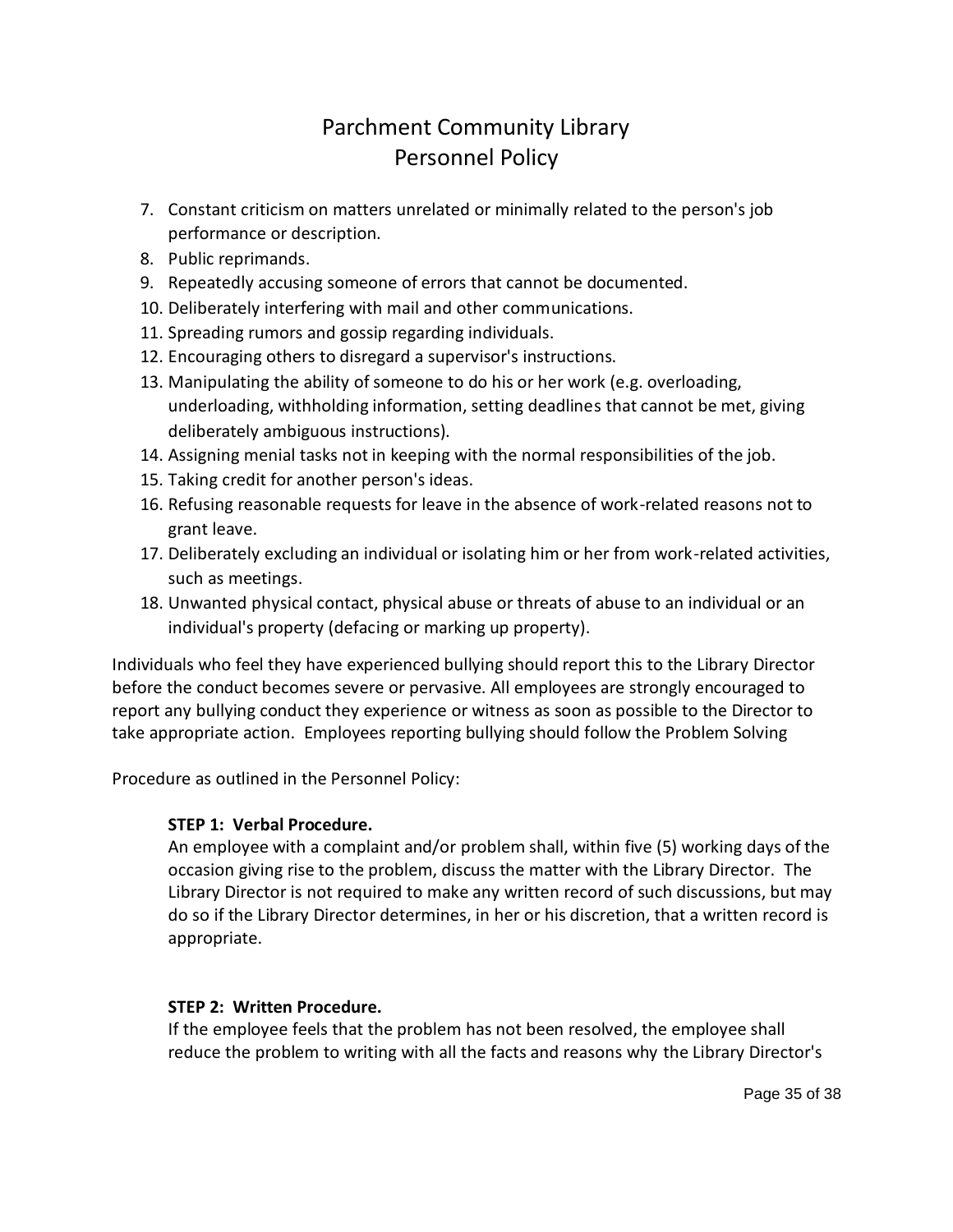- 7. Constant criticism on matters unrelated or minimally related to the person's job performance or description.
- 8. Public reprimands.
- 9. Repeatedly accusing someone of errors that cannot be documented.
- 10. Deliberately interfering with mail and other communications.
- 11. Spreading rumors and gossip regarding individuals.
- 12. Encouraging others to disregard a supervisor's instructions.
- 13. Manipulating the ability of someone to do his or her work (e.g. overloading, underloading, withholding information, setting deadlines that cannot be met, giving deliberately ambiguous instructions).
- 14. Assigning menial tasks not in keeping with the normal responsibilities of the job.
- 15. Taking credit for another person's ideas.
- 16. Refusing reasonable requests for leave in the absence of work-related reasons not to grant leave.
- 17. Deliberately excluding an individual or isolating him or her from work-related activities, such as meetings.
- 18. Unwanted physical contact, physical abuse or threats of abuse to an individual or an individual's property (defacing or marking up property).

Individuals who feel they have experienced bullying should report this to the Library Director before the conduct becomes severe or pervasive. All employees are strongly encouraged to report any bullying conduct they experience or witness as soon as possible to the Director to take appropriate action. Employees reporting bullying should follow the Problem Solving

Procedure as outlined in the Personnel Policy:

## **STEP 1: Verbal Procedure.**

An employee with a complaint and/or problem shall, within five (5) working days of the occasion giving rise to the problem, discuss the matter with the Library Director. The Library Director is not required to make any written record of such discussions, but may do so if the Library Director determines, in her or his discretion, that a written record is appropriate.

## **STEP 2: Written Procedure.**

If the employee feels that the problem has not been resolved, the employee shall reduce the problem to writing with all the facts and reasons why the Library Director's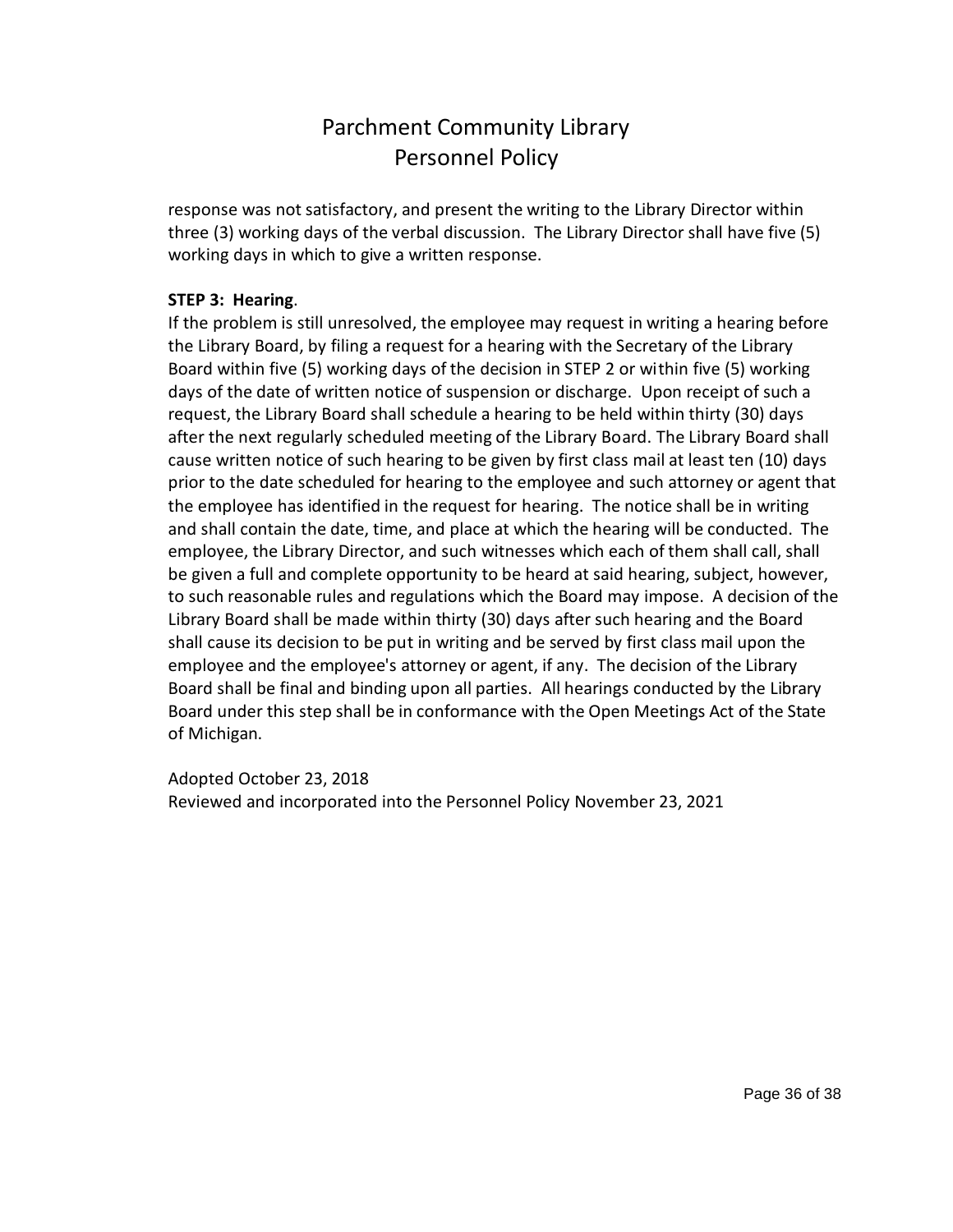response was not satisfactory, and present the writing to the Library Director within three (3) working days of the verbal discussion. The Library Director shall have five (5) working days in which to give a written response.

## **STEP 3: Hearing**.

If the problem is still unresolved, the employee may request in writing a hearing before the Library Board, by filing a request for a hearing with the Secretary of the Library Board within five (5) working days of the decision in STEP 2 or within five (5) working days of the date of written notice of suspension or discharge. Upon receipt of such a request, the Library Board shall schedule a hearing to be held within thirty (30) days after the next regularly scheduled meeting of the Library Board. The Library Board shall cause written notice of such hearing to be given by first class mail at least ten (10) days prior to the date scheduled for hearing to the employee and such attorney or agent that the employee has identified in the request for hearing. The notice shall be in writing and shall contain the date, time, and place at which the hearing will be conducted. The employee, the Library Director, and such witnesses which each of them shall call, shall be given a full and complete opportunity to be heard at said hearing, subject, however, to such reasonable rules and regulations which the Board may impose. A decision of the Library Board shall be made within thirty (30) days after such hearing and the Board shall cause its decision to be put in writing and be served by first class mail upon the employee and the employee's attorney or agent, if any. The decision of the Library Board shall be final and binding upon all parties. All hearings conducted by the Library Board under this step shall be in conformance with the Open Meetings Act of the State of Michigan.

Adopted October 23, 2018 Reviewed and incorporated into the Personnel Policy November 23, 2021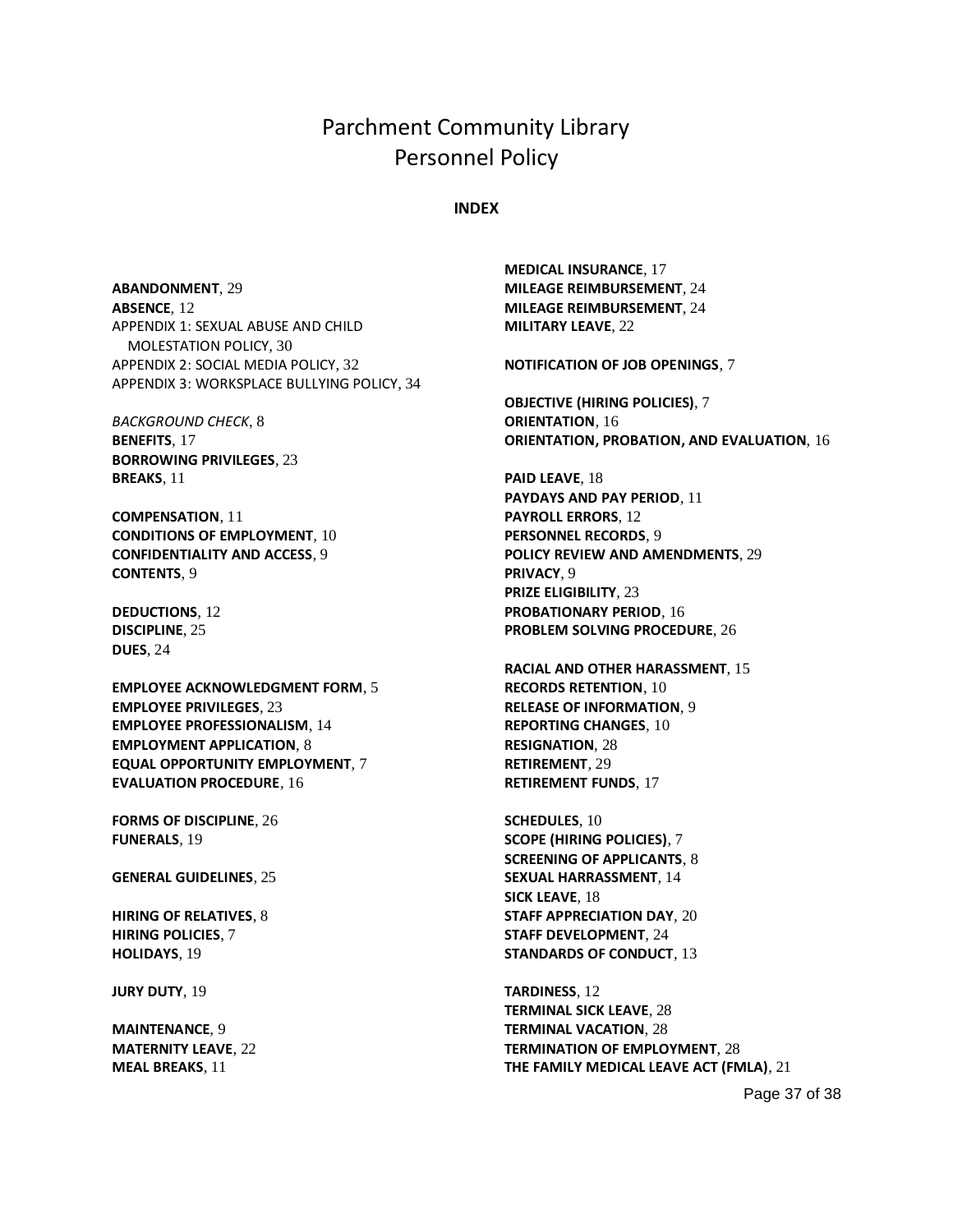#### **INDEX**

<span id="page-36-0"></span>**ABANDONMENT**, 29 **ABSENCE**, 12 APPENDIX 1: SEXUAL ABUSE AND CHILD MOLESTATION POLICY, 30 APPENDIX 2: SOCIAL MEDIA POLICY, 32 APPENDIX 3: WORKSPLACE BULLYING POLICY, 34

*BACKGROUND CHECK*, 8 **BENEFITS**, 17 **BORROWING PRIVILEGES**, 23 **BREAKS**, 11

**COMPENSATION**, 11 **CONDITIONS OF EMPLOYMENT**, 10 **CONFIDENTIALITY AND ACCESS**, 9 **CONTENTS**, 9

**DEDUCTIONS**, 12 **DISCIPLINE**, 25 **DUES**, 24

**EMPLOYEE ACKNOWLEDGMENT FORM**, 5 **EMPLOYEE PRIVILEGES**, 23 **EMPLOYEE PROFESSIONALISM**, 14 **EMPLOYMENT APPLICATION**, 8 **EQUAL OPPORTUNITY EMPLOYMENT**, 7 **EVALUATION PROCEDURE**, 16

**FORMS OF DISCIPLINE**, 26 **FUNERALS**, 19

**GENERAL GUIDELINES**, 25

**HIRING OF RELATIVES**, 8 **HIRING POLICIES**, 7 **HOLIDAYS**, 19

**JURY DUTY**, 19

**MAINTENANCE**, 9 **MATERNITY LEAVE**, 22 **MEAL BREAKS**, 11

**MEDICAL INSURANCE**, 17 **MILEAGE REIMBURSEMENT**, 24 **MILEAGE REIMBURSEMENT**, 24 **MILITARY LEAVE**, 22

**NOTIFICATION OF JOB OPENINGS**, 7

**OBJECTIVE (HIRING POLICIES)**, 7 **ORIENTATION**, 16 **ORIENTATION, PROBATION, AND EVALUATION**, 16

**PAID LEAVE**, 18 **PAYDAYS AND PAY PERIOD**, 11 **PAYROLL ERRORS**, 12 **PERSONNEL RECORDS**, 9 **POLICY REVIEW AND AMENDMENTS**, 29 **PRIVACY**, 9 **PRIZE ELIGIBILITY**, 23 **PROBATIONARY PERIOD**, 16 **PROBLEM SOLVING PROCEDURE**, 26

**RACIAL AND OTHER HARASSMENT**, 15 **RECORDS RETENTION**, 10 **RELEASE OF INFORMATION**, 9 **REPORTING CHANGES**, 10 **RESIGNATION**, 28 **RETIREMENT**, 29 **RETIREMENT FUNDS**, 17

**SCHEDULES**, 10 **SCOPE (HIRING POLICIES)**, 7 **SCREENING OF APPLICANTS**, 8 **SEXUAL HARRASSMENT**, 14 **SICK LEAVE**, 18 **STAFF APPRECIATION DAY**, 20 **STAFF DEVELOPMENT**, 24 **STANDARDS OF CONDUCT**, 13

**TARDINESS**, 12 **TERMINAL SICK LEAVE**, 28 **TERMINAL VACATION**, 28 **TERMINATION OF EMPLOYMENT**, 28 **THE FAMILY MEDICAL LEAVE ACT (FMLA)**, 21

Page 37 of 38